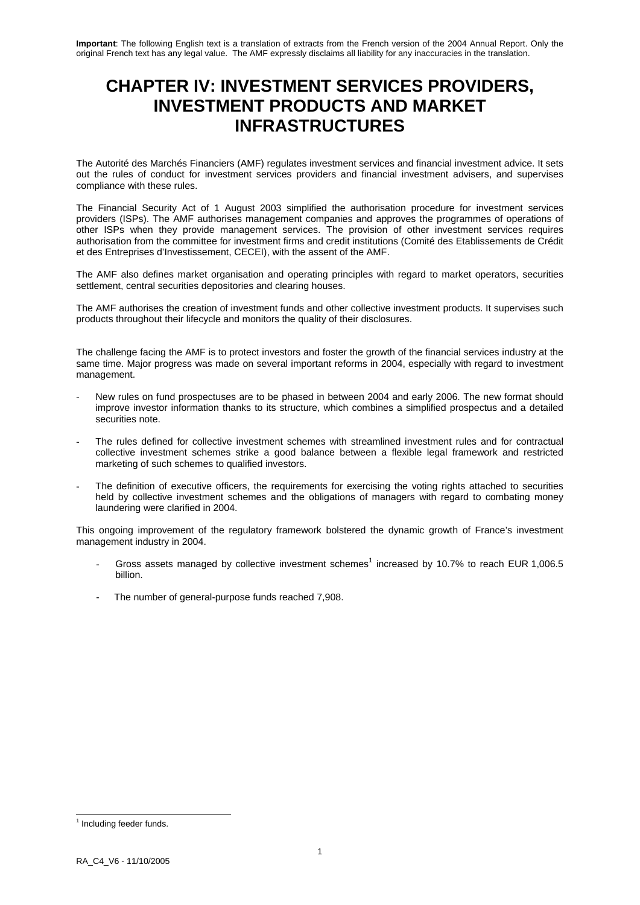# **CHAPTER IV: INVESTMENT SERVICES PROVIDERS, INVESTMENT PRODUCTS AND MARKET INFRASTRUCTURES**

The Autorité des Marchés Financiers (AMF) regulates investment services and financial investment advice. It sets out the rules of conduct for investment services providers and financial investment advisers, and supervises compliance with these rules.

The Financial Security Act of 1 August 2003 simplified the authorisation procedure for investment services providers (ISPs). The AMF authorises management companies and approves the programmes of operations of other ISPs when they provide management services. The provision of other investment services requires authorisation from the committee for investment firms and credit institutions (Comité des Etablissements de Crédit et des Entreprises d'Investissement, CECEI), with the assent of the AMF.

The AMF also defines market organisation and operating principles with regard to market operators, securities settlement, central securities depositories and clearing houses.

The AMF authorises the creation of investment funds and other collective investment products. It supervises such products throughout their lifecycle and monitors the quality of their disclosures.

The challenge facing the AMF is to protect investors and foster the growth of the financial services industry at the same time. Major progress was made on several important reforms in 2004, especially with regard to investment management.

- New rules on fund prospectuses are to be phased in between 2004 and early 2006. The new format should improve investor information thanks to its structure, which combines a simplified prospectus and a detailed securities note.
- The rules defined for collective investment schemes with streamlined investment rules and for contractual collective investment schemes strike a good balance between a flexible legal framework and restricted marketing of such schemes to qualified investors.
- The definition of executive officers, the requirements for exercising the voting rights attached to securities held by collective investment schemes and the obligations of managers with regard to combating money laundering were clarified in 2004.

This ongoing improvement of the regulatory framework bolstered the dynamic growth of France's investment management industry in 2004.

- Gross assets managed by collective investment schemes<sup>1</sup> increased by 10.7% to reach EUR 1,006.5 billion.
- The number of general-purpose funds reached 7,908.

<sup>-</sup><sup>1</sup> Including feeder funds.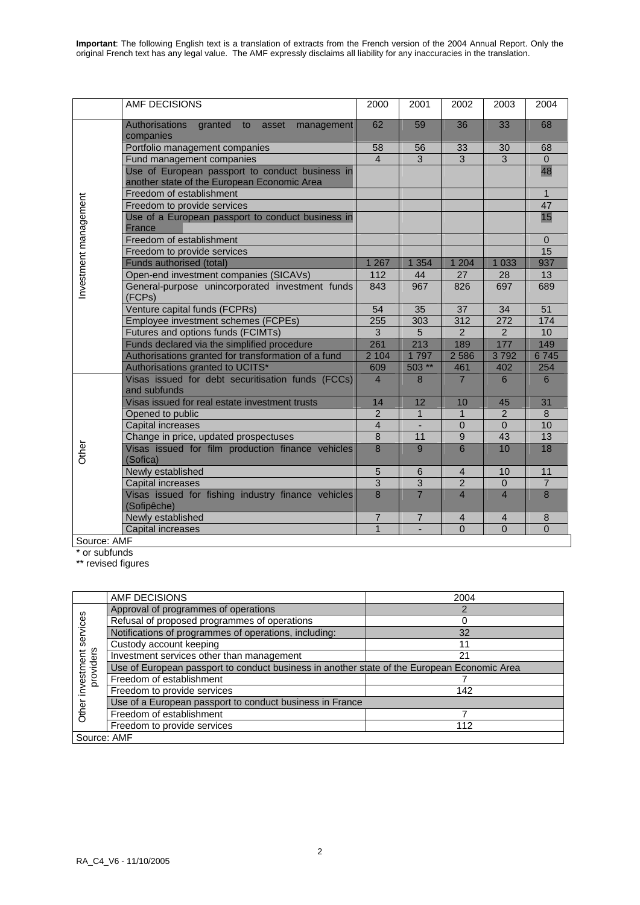|                       | AMF DECISIONS                                                              | 2000           | 2001           | 2002           | 2003           | 2004            |
|-----------------------|----------------------------------------------------------------------------|----------------|----------------|----------------|----------------|-----------------|
|                       | <b>Authorisations</b><br>granted<br>to<br>asset<br>management<br>companies | 62             | 59             | 36             | 33             | 68              |
|                       | Portfolio management companies                                             | 58             | 56             | 33             | 30             | 68              |
|                       | Fund management companies                                                  | $\overline{4}$ | 3              | 3              | 3              | $\overline{0}$  |
|                       | Use of European passport to conduct business in                            |                |                |                |                | 48              |
|                       | another state of the European Economic Area                                |                |                |                |                |                 |
|                       | Freedom of establishment                                                   |                |                |                |                | $\mathbf{1}$    |
|                       | Freedom to provide services                                                |                |                |                |                | 47              |
|                       | Use of a European passport to conduct business in                          |                |                |                |                | 15              |
|                       | <b>France</b>                                                              |                |                |                |                |                 |
|                       | Freedom of establishment                                                   |                |                |                |                | $\Omega$        |
|                       | Freedom to provide services                                                |                |                |                |                | 15              |
|                       | Funds authorised (total)                                                   | 1 2 6 7        | 1 3 5 4        | 1 2 0 4        | 1 0 3 3        | 937             |
|                       | Open-end investment companies (SICAVs)                                     | 112            | 44             | 27             | 28             | 13              |
| Investment management | General-purpose unincorporated investment funds<br>(FCPs)                  | 843            | 967            | 826            | 697            | 689             |
|                       | Venture capital funds (FCPRs)                                              | 54             | 35             | 37             | 34             | 51              |
|                       | Employee investment schemes (FCPEs)                                        | 255            | 303            | 312            | 272            | 174             |
|                       | Futures and options funds (FCIMTs)                                         | 3              | 5              | $\overline{2}$ | $\overline{2}$ | 10 <sup>°</sup> |
|                       | Funds declared via the simplified procedure                                | 261            | 213            | 189            | 177            | 149             |
|                       | Authorisations granted for transformation of a fund                        | 2 104          | 1797           | 2 5 8 6        | 3792           | 6745            |
|                       | Authorisations granted to UCITS*                                           | 609            | $503**$        | 461            | 402            | 254             |
|                       | Visas issued for debt securitisation funds (FCCs)<br>and subfunds          | $\overline{4}$ | 8              | $\overline{7}$ | 6              | 6               |
|                       | Visas issued for real estate investment trusts                             | 14             | 12             | 10             | 45             | 31              |
|                       | Opened to public                                                           | $\overline{2}$ | $\mathbf{1}$   | $\mathbf{1}$   | $\overline{2}$ | 8               |
|                       | Capital increases                                                          | $\overline{4}$ |                | $\mathbf 0$    | $\Omega$       | 10              |
|                       | Change in price, updated prospectuses                                      | $\overline{8}$ | 11             | $\overline{9}$ | 43             | 13              |
| Other                 | Visas issued for film production finance vehicles<br>(Sofica)              | $\overline{8}$ | 9              | 6              | 10             | 18              |
|                       | Newly established                                                          | $\sqrt{5}$     | $\,6$          | $\overline{4}$ | 10             | 11              |
|                       | Capital increases                                                          | $\overline{3}$ | $\overline{3}$ | $\overline{2}$ | $\mathbf{0}$   | $\overline{7}$  |
|                       | Visas issued for fishing industry finance vehicles<br>(Sofipêche)          | 8              | $\overline{7}$ | $\overline{4}$ | $\overline{4}$ | 8               |
|                       | Newly established                                                          | $\overline{7}$ | $\overline{7}$ | $\overline{4}$ | $\overline{4}$ | $\bf 8$         |
|                       | Capital increases                                                          | $\overline{1}$ |                | $\overline{0}$ | $\overline{0}$ | $\overline{0}$  |
| Source: AMF           |                                                                            |                |                |                |                |                 |

\* or subfunds

\*\* revised figures

|                         | AMF DECISIONS                                                                               | 2004 |  |  |  |  |  |
|-------------------------|---------------------------------------------------------------------------------------------|------|--|--|--|--|--|
|                         | Approval of programmes of operations                                                        |      |  |  |  |  |  |
| services                | Refusal of proposed programmes of operations                                                |      |  |  |  |  |  |
|                         | Notifications of programmes of operations, including:                                       | 32   |  |  |  |  |  |
|                         | Custody account keeping                                                                     | 11   |  |  |  |  |  |
| providers<br>investment | Investment services other than management                                                   | 21   |  |  |  |  |  |
|                         | Use of European passport to conduct business in another state of the European Economic Area |      |  |  |  |  |  |
|                         | Freedom of establishment                                                                    |      |  |  |  |  |  |
|                         | Freedom to provide services                                                                 | 142  |  |  |  |  |  |
|                         | Use of a European passport to conduct business in France                                    |      |  |  |  |  |  |
| Other                   | Freedom of establishment                                                                    |      |  |  |  |  |  |
|                         | Freedom to provide services                                                                 | 112  |  |  |  |  |  |
| Source: AMF             |                                                                                             |      |  |  |  |  |  |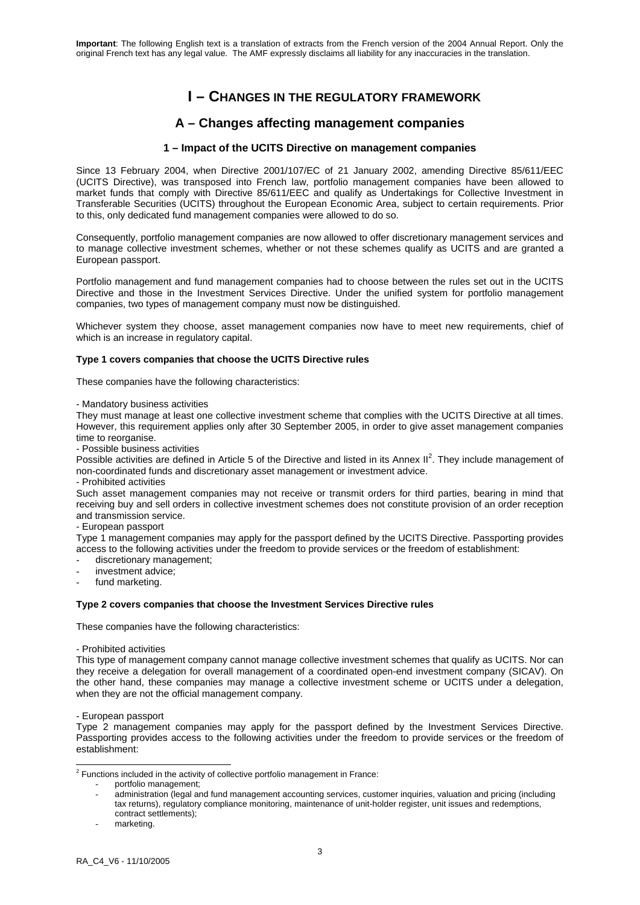# **I – CHANGES IN THE REGULATORY FRAMEWORK**

# **A – Changes affecting management companies**

## **1 – Impact of the UCITS Directive on management companies**

Since 13 February 2004, when Directive 2001/107/EC of 21 January 2002, amending Directive 85/611/EEC (UCITS Directive), was transposed into French law, portfolio management companies have been allowed to market funds that comply with Directive 85/611/EEC and qualify as Undertakings for Collective Investment in Transferable Securities (UCITS) throughout the European Economic Area, subject to certain requirements. Prior to this, only dedicated fund management companies were allowed to do so.

Consequently, portfolio management companies are now allowed to offer discretionary management services and to manage collective investment schemes, whether or not these schemes qualify as UCITS and are granted a European passport.

Portfolio management and fund management companies had to choose between the rules set out in the UCITS Directive and those in the Investment Services Directive. Under the unified system for portfolio management companies, two types of management company must now be distinguished.

Whichever system they choose, asset management companies now have to meet new requirements, chief of which is an increase in regulatory capital.

### **Type 1 covers companies that choose the UCITS Directive rules**

These companies have the following characteristics:

#### - Mandatory business activities

They must manage at least one collective investment scheme that complies with the UCITS Directive at all times. However, this requirement applies only after 30 September 2005, in order to give asset management companies time to reorganise.

- Possible business activities

Possible activities are defined in Article 5 of the Directive and listed in its Annex  $II^2$ . They include management of non-coordinated funds and discretionary asset management or investment advice.

### - Prohibited activities

Such asset management companies may not receive or transmit orders for third parties, bearing in mind that receiving buy and sell orders in collective investment schemes does not constitute provision of an order reception and transmission service.

### - European passport

Type 1 management companies may apply for the passport defined by the UCITS Directive. Passporting provides access to the following activities under the freedom to provide services or the freedom of establishment:

- discretionary management;
- investment advice;
- fund marketing.

### **Type 2 covers companies that choose the Investment Services Directive rules**

These companies have the following characteristics:

- Prohibited activities

This type of management company cannot manage collective investment schemes that qualify as UCITS. Nor can they receive a delegation for overall management of a coordinated open-end investment company (SICAV). On the other hand, these companies may manage a collective investment scheme or UCITS under a delegation, when they are not the official management company.

### - European passport

Type 2 management companies may apply for the passport defined by the Investment Services Directive. Passporting provides access to the following activities under the freedom to provide services or the freedom of establishment:

2 Functions included in the activity of collective portfolio management in France:

- portfolio management;
	- administration (legal and fund management accounting services, customer inquiries, valuation and pricing (including tax returns), regulatory compliance monitoring, maintenance of unit-holder register, unit issues and redemptions, contract settlements);
	- marketing.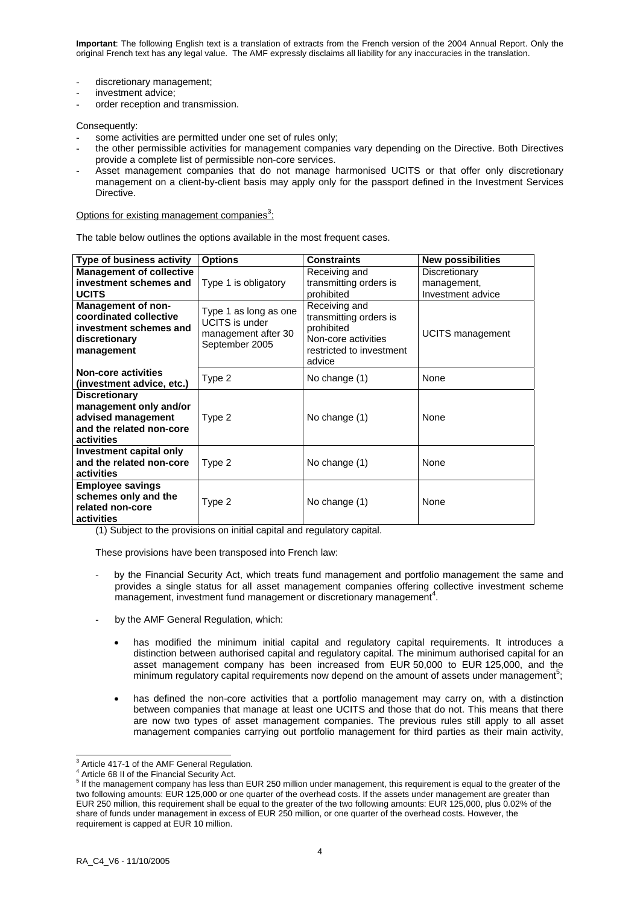- discretionary management;
- investment advice:
- order reception and transmission.

Consequently:

- some activities are permitted under one set of rules only;
- the other permissible activities for management companies vary depending on the Directive. Both Directives provide a complete list of permissible non-core services.
- Asset management companies that do not manage harmonised UCITS or that offer only discretionary management on a client-by-client basis may apply only for the passport defined in the Investment Services Directive.

Options for existing management companies<sup>3</sup>:

The table below outlines the options available in the most frequent cases.

| <b>Type of business activity</b>                                                                               | <b>Options</b>                                                                          | <b>Constraints</b>                                                                                                 | <b>New possibilities</b>                          |
|----------------------------------------------------------------------------------------------------------------|-----------------------------------------------------------------------------------------|--------------------------------------------------------------------------------------------------------------------|---------------------------------------------------|
| <b>Management of collective</b><br>investment schemes and<br><b>UCITS</b>                                      | Type 1 is obligatory                                                                    | Receiving and<br>transmitting orders is<br>prohibited                                                              | Discretionary<br>management,<br>Investment advice |
| Management of non-<br>coordinated collective<br>investment schemes and<br>discretionary<br>management          | Type 1 as long as one<br><b>UCITS</b> is under<br>management after 30<br>September 2005 | Receiving and<br>transmitting orders is<br>prohibited<br>Non-core activities<br>restricted to investment<br>advice | UCITS management                                  |
| <b>Non-core activities</b><br>(investment advice, etc.)                                                        | Type 2                                                                                  | No change (1)                                                                                                      | None                                              |
| <b>Discretionary</b><br>management only and/or<br>advised management<br>and the related non-core<br>activities | Type 2                                                                                  | No change (1)                                                                                                      | None                                              |
| Investment capital only<br>and the related non-core<br>activities                                              | Type 2                                                                                  | No change (1)                                                                                                      | None                                              |
| <b>Employee savings</b><br>schemes only and the<br>related non-core<br>activities                              | Type 2                                                                                  | No change (1)                                                                                                      | None                                              |

(1) Subject to the provisions on initial capital and regulatory capital.

These provisions have been transposed into French law:

- by the Financial Security Act, which treats fund management and portfolio management the same and provides a single status for all asset management companies offering collective investment scheme  $m$ anagement, investment fund management or discretionary management<sup>4</sup>.
- by the AMF General Regulation, which:
	- has modified the minimum initial capital and regulatory capital requirements. It introduces a distinction between authorised capital and regulatory capital. The minimum authorised capital for an asset management company has been increased from EUR 50,000 to EUR 125,000, and the minimum regulatory capital requirements now depend on the amount of assets under management<sup>5</sup>;
	- has defined the non-core activities that a portfolio management may carry on, with a distinction between companies that manage at least one UCITS and those that do not. This means that there are now two types of asset management companies. The previous rules still apply to all asset management companies carrying out portfolio management for third parties as their main activity,

 3 Article 417-1 of the AMF General Regulation.

<sup>4</sup> Article 68 II of the Financial Security Act.

<sup>&</sup>lt;sup>5</sup> If the management company has less than EUR 250 million under management, this requirement is equal to the greater of the two following amounts: EUR 125,000 or one quarter of the overhead costs. If the assets under management are greater than EUR 250 million, this requirement shall be equal to the greater of the two following amounts: EUR 125,000, plus 0.02% of the share of funds under management in excess of EUR 250 million, or one quarter of the overhead costs. However, the requirement is capped at EUR 10 million.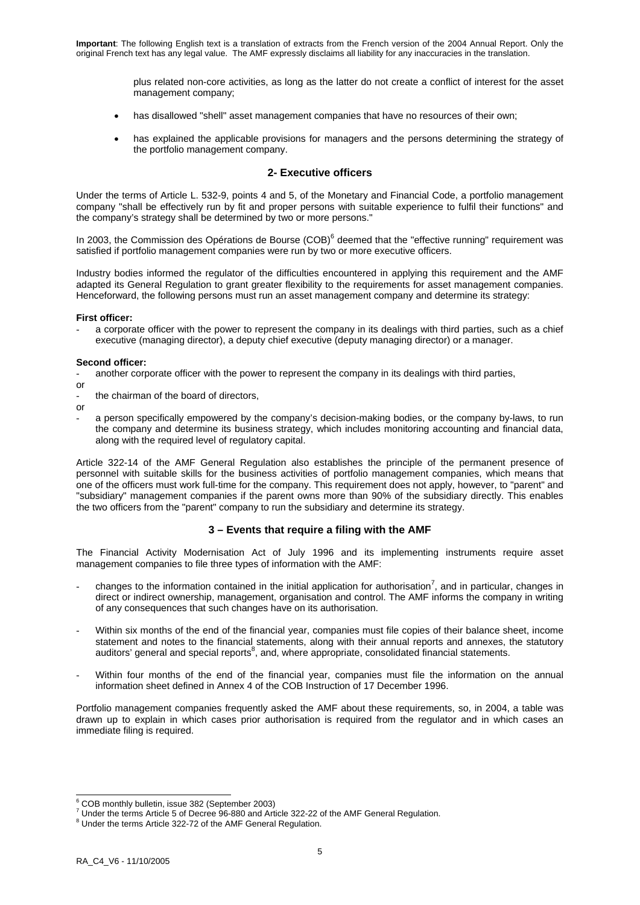plus related non-core activities, as long as the latter do not create a conflict of interest for the asset management company;

- has disallowed "shell" asset management companies that have no resources of their own;
- has explained the applicable provisions for managers and the persons determining the strategy of the portfolio management company.

### **2- Executive officers**

Under the terms of Article L. 532-9, points 4 and 5, of the Monetary and Financial Code, a portfolio management company "shall be effectively run by fit and proper persons with suitable experience to fulfil their functions" and the company's strategy shall be determined by two or more persons."

In 2003, the Commission des Opérations de Bourse (COB)<sup>6</sup> deemed that the "effective running" requirement was satisfied if portfolio management companies were run by two or more executive officers.

Industry bodies informed the regulator of the difficulties encountered in applying this requirement and the AMF adapted its General Regulation to grant greater flexibility to the requirements for asset management companies. Henceforward, the following persons must run an asset management company and determine its strategy:

### **First officer:**

a corporate officer with the power to represent the company in its dealings with third parties, such as a chief executive (managing director), a deputy chief executive (deputy managing director) or a manager.

### **Second officer:**

- another corporate officer with the power to represent the company in its dealings with third parties,
- or
- the chairman of the board of directors.
- or
- a person specifically empowered by the company's decision-making bodies, or the company by-laws, to run the company and determine its business strategy, which includes monitoring accounting and financial data, along with the required level of regulatory capital.

Article 322-14 of the AMF General Regulation also establishes the principle of the permanent presence of personnel with suitable skills for the business activities of portfolio management companies, which means that one of the officers must work full-time for the company. This requirement does not apply, however, to "parent" and "subsidiary" management companies if the parent owns more than 90% of the subsidiary directly. This enables the two officers from the "parent" company to run the subsidiary and determine its strategy.

### **3 – Events that require a filing with the AMF**

The Financial Activity Modernisation Act of July 1996 and its implementing instruments require asset management companies to file three types of information with the AMF:

- changes to the information contained in the initial application for authorisation<sup>7</sup>, and in particular, changes in direct or indirect ownership, management, organisation and control. The AMF informs the company in writing of any consequences that such changes have on its authorisation.
- Within six months of the end of the financial year, companies must file copies of their balance sheet, income statement and notes to the financial statements, along with their annual reports and annexes, the statutory auditors' general and special reports<sup>8</sup>, and, where appropriate, consolidated financial statements.
- Within four months of the end of the financial year, companies must file the information on the annual information sheet defined in Annex 4 of the COB Instruction of 17 December 1996.

Portfolio management companies frequently asked the AMF about these requirements, so, in 2004, a table was drawn up to explain in which cases prior authorisation is required from the regulator and in which cases an immediate filing is required.

<sup>-</sup>6 COB monthly bulletin, issue 382 (September 2003)

<sup>7</sup> Under the terms Article 5 of Decree 96-880 and Article 322-22 of the AMF General Regulation. 8

 $8$  Under the terms Article 322-72 of the AMF General Regulation.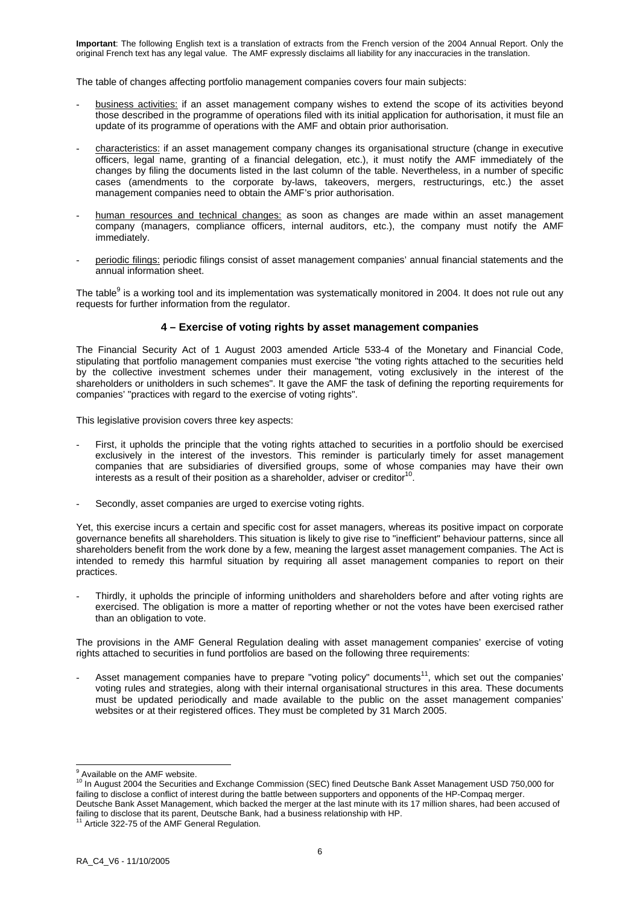The table of changes affecting portfolio management companies covers four main subjects:

- business activities: if an asset management company wishes to extend the scope of its activities beyond those described in the programme of operations filed with its initial application for authorisation, it must file an update of its programme of operations with the AMF and obtain prior authorisation.
- characteristics: if an asset management company changes its organisational structure (change in executive officers, legal name, granting of a financial delegation, etc.), it must notify the AMF immediately of the changes by filing the documents listed in the last column of the table. Nevertheless, in a number of specific cases (amendments to the corporate by-laws, takeovers, mergers, restructurings, etc.) the asset management companies need to obtain the AMF's prior authorisation.
- human resources and technical changes: as soon as changes are made within an asset management company (managers, compliance officers, internal auditors, etc.), the company must notify the AMF immediately.
- periodic filings: periodic filings consist of asset management companies' annual financial statements and the annual information sheet.

The table<sup>9</sup> is a working tool and its implementation was systematically monitored in 2004. It does not rule out any requests for further information from the regulator.

### **4 – Exercise of voting rights by asset management companies**

The Financial Security Act of 1 August 2003 amended Article 533-4 of the Monetary and Financial Code, stipulating that portfolio management companies must exercise "the voting rights attached to the securities held by the collective investment schemes under their management, voting exclusively in the interest of the shareholders or unitholders in such schemes". It gave the AMF the task of defining the reporting requirements for companies' "practices with regard to the exercise of voting rights".

This legislative provision covers three key aspects:

- First, it upholds the principle that the voting rights attached to securities in a portfolio should be exercised exclusively in the interest of the investors. This reminder is particularly timely for asset management companies that are subsidiaries of diversified groups, some of whose companies may have their own interests as a result of their position as a shareholder, adviser or creditor<sup>10</sup>
- Secondly, asset companies are urged to exercise voting rights.

Yet, this exercise incurs a certain and specific cost for asset managers, whereas its positive impact on corporate governance benefits all shareholders. This situation is likely to give rise to "inefficient" behaviour patterns, since all shareholders benefit from the work done by a few, meaning the largest asset management companies. The Act is intended to remedy this harmful situation by requiring all asset management companies to report on their practices.

Thirdly, it upholds the principle of informing unitholders and shareholders before and after voting rights are exercised. The obligation is more a matter of reporting whether or not the votes have been exercised rather than an obligation to vote.

The provisions in the AMF General Regulation dealing with asset management companies' exercise of voting rights attached to securities in fund portfolios are based on the following three requirements:

Asset management companies have to prepare "voting policy" documents<sup>11</sup>, which set out the companies' voting rules and strategies, along with their internal organisational structures in this area. These documents must be updated periodically and made available to the public on the asset management companies' websites or at their registered offices. They must be completed by 31 March 2005.

 9 Available on the AMF website. 10 In August 2004 the Securities and Exchange Commission (SEC) fined Deutsche Bank Asset Management USD 750,000 for failing to disclose a conflict of interest during the battle between supporters and opponents of the HP-Compaq merger. Deutsche Bank Asset Management, which backed the merger at the last minute with its 17 million shares, had been accused of failing to disclose that its parent, Deutsche Bank, had a business relationship with HP.<br><sup>11</sup> Article 322-75 of the AMF General Regulation.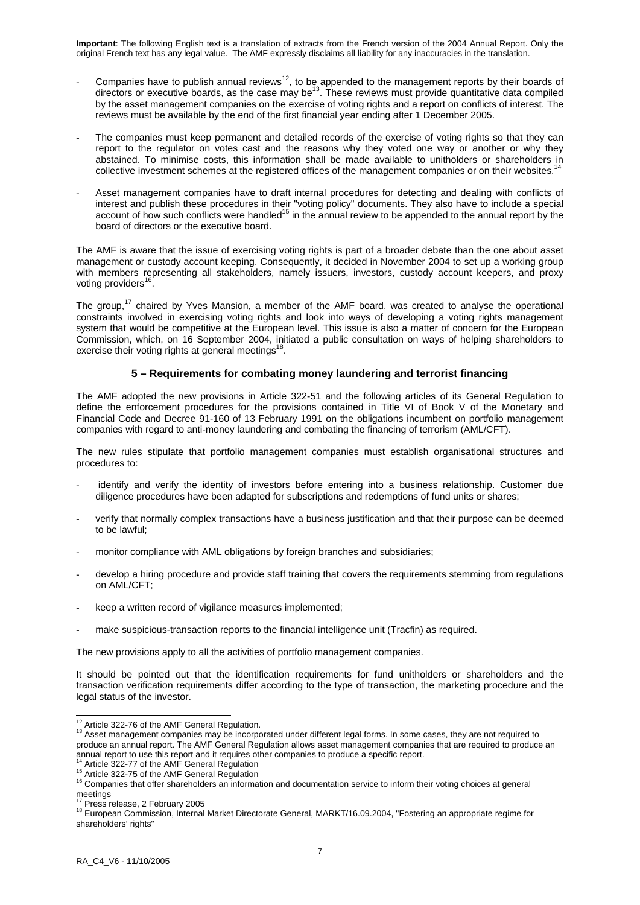- Companies have to publish annual reviews<sup>12</sup>, to be appended to the management reports by their boards of directors or executive boards, as the case may be<sup>13</sup>. These reviews must provide quantitative data compiled by the asset management companies on the exercise of voting rights and a report on conflicts of interest. The reviews must be available by the end of the first financial year ending after 1 December 2005.
- The companies must keep permanent and detailed records of the exercise of voting rights so that they can report to the regulator on votes cast and the reasons why they voted one way or another or why they abstained. To minimise costs, this information shall be made available to unitholders or shareholders in collective investment schemes at the registered offices of the management companies or on their websites.<sup>1</sup>
- Asset management companies have to draft internal procedures for detecting and dealing with conflicts of interest and publish these procedures in their "voting policy" documents. They also have to include a special account of how such conflicts were handled<sup>15</sup> in the annual review to be appended to the annual report by the board of directors or the executive board.

The AMF is aware that the issue of exercising voting rights is part of a broader debate than the one about asset management or custody account keeping. Consequently, it decided in November 2004 to set up a working group with members representing all stakeholders, namely issuers, investors, custody account keepers, and proxy voting providers<sup>2</sup>

The group,<sup>17</sup> chaired by Yves Mansion, a member of the AMF board, was created to analyse the operational constraints involved in exercising voting rights and look into ways of developing a voting rights management system that would be competitive at the European level. This issue is also a matter of concern for the European Commission, which, on 16 September 2004, initiated a public consultation on ways of helping shareholders to exercise their voting rights at general meetings<sup>18</sup>.

### **5 – Requirements for combating money laundering and terrorist financing**

The AMF adopted the new provisions in Article 322-51 and the following articles of its General Regulation to define the enforcement procedures for the provisions contained in Title VI of Book V of the Monetary and Financial Code and Decree 91-160 of 13 February 1991 on the obligations incumbent on portfolio management companies with regard to anti-money laundering and combating the financing of terrorism (AML/CFT).

The new rules stipulate that portfolio management companies must establish organisational structures and procedures to:

- identify and verify the identity of investors before entering into a business relationship. Customer due diligence procedures have been adapted for subscriptions and redemptions of fund units or shares;
- verify that normally complex transactions have a business justification and that their purpose can be deemed to be lawful;
- monitor compliance with AML obligations by foreign branches and subsidiaries;
- develop a hiring procedure and provide staff training that covers the requirements stemming from regulations on AML/CFT;
- keep a written record of vigilance measures implemented;
- make suspicious-transaction reports to the financial intelligence unit (Tracfin) as required.

The new provisions apply to all the activities of portfolio management companies.

It should be pointed out that the identification requirements for fund unitholders or shareholders and the transaction verification requirements differ according to the type of transaction, the marketing procedure and the legal status of the investor.

<sup>&</sup>lt;sup>12</sup> Article 322-76 of the AMF General Regulation.

<sup>&</sup>lt;sup>13</sup> Asset management companies may be incorporated under different legal forms. In some cases, they are not required to produce an annual report. The AMF General Regulation allows asset management companies that are required to produce an annual report to use this report and it requires other companies to produce a specific report.

<sup>&</sup>lt;sup>14</sup> Article 322-77 of the AMF General Regulation<br><sup>15</sup> Article 322-77 of the AMF General Regulation<br><sup>15</sup> Article 322-75 of the AMF General Regulation<br><sup>16</sup> Companies that offer shareholders an information and documentation meetings<br><sup>17</sup> Press release. 2 February 2005

<sup>18</sup> European Commission, Internal Market Directorate General, MARKT/16.09.2004, "Fostering an appropriate regime for shareholders' rights"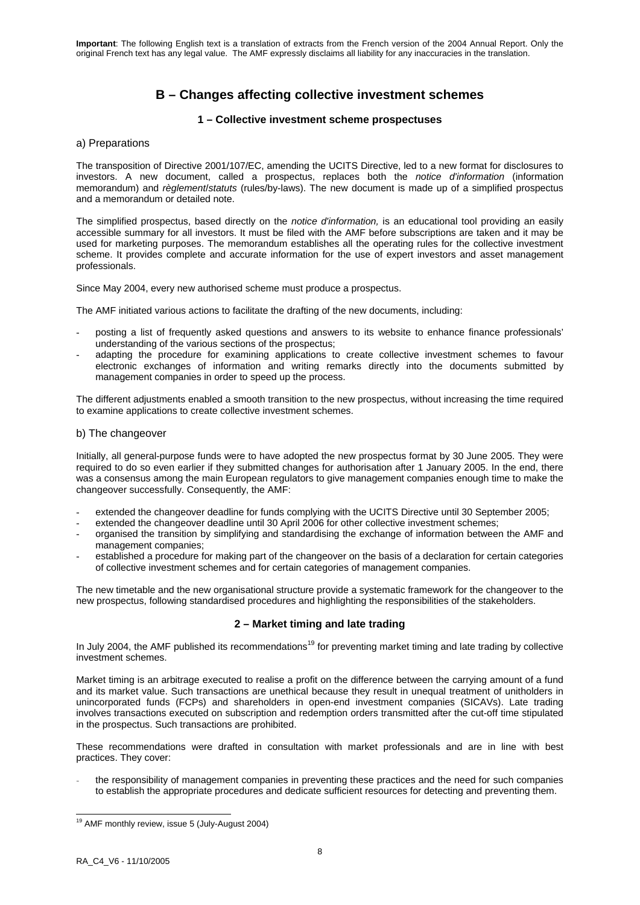# **B – Changes affecting collective investment schemes**

### **1 – Collective investment scheme prospectuses**

### a) Preparations

The transposition of Directive 2001/107/EC, amending the UCITS Directive, led to a new format for disclosures to investors. A new document, called a prospectus, replaces both the *notice d'information* (information memorandum) and *règlement*/*statuts* (rules/by-laws). The new document is made up of a simplified prospectus and a memorandum or detailed note.

The simplified prospectus, based directly on the *notice d'information,* is an educational tool providing an easily accessible summary for all investors. It must be filed with the AMF before subscriptions are taken and it may be used for marketing purposes. The memorandum establishes all the operating rules for the collective investment scheme. It provides complete and accurate information for the use of expert investors and asset management professionals.

Since May 2004, every new authorised scheme must produce a prospectus.

The AMF initiated various actions to facilitate the drafting of the new documents, including:

- posting a list of frequently asked questions and answers to its website to enhance finance professionals' understanding of the various sections of the prospectus;
- adapting the procedure for examining applications to create collective investment schemes to favour electronic exchanges of information and writing remarks directly into the documents submitted by management companies in order to speed up the process.

The different adjustments enabled a smooth transition to the new prospectus, without increasing the time required to examine applications to create collective investment schemes.

### b) The changeover

Initially, all general-purpose funds were to have adopted the new prospectus format by 30 June 2005. They were required to do so even earlier if they submitted changes for authorisation after 1 January 2005. In the end, there was a consensus among the main European regulators to give management companies enough time to make the changeover successfully. Consequently, the AMF:

- extended the changeover deadline for funds complying with the UCITS Directive until 30 September 2005;
- extended the changeover deadline until 30 April 2006 for other collective investment schemes;
- organised the transition by simplifying and standardising the exchange of information between the AMF and management companies;
- established a procedure for making part of the changeover on the basis of a declaration for certain categories of collective investment schemes and for certain categories of management companies.

The new timetable and the new organisational structure provide a systematic framework for the changeover to the new prospectus, following standardised procedures and highlighting the responsibilities of the stakeholders.

### **2 – Market timing and late trading**

In July 2004, the AMF published its recommendations<sup>19</sup> for preventing market timing and late trading by collective investment schemes.

Market timing is an arbitrage executed to realise a profit on the difference between the carrying amount of a fund and its market value. Such transactions are unethical because they result in unequal treatment of unitholders in unincorporated funds (FCPs) and shareholders in open-end investment companies (SICAVs). Late trading involves transactions executed on subscription and redemption orders transmitted after the cut-off time stipulated in the prospectus. Such transactions are prohibited.

These recommendations were drafted in consultation with market professionals and are in line with best practices. They cover:

the responsibility of management companies in preventing these practices and the need for such companies to establish the appropriate procedures and dedicate sufficient resources for detecting and preventing them.

 $19$  AMF monthly review, issue 5 (July-August 2004)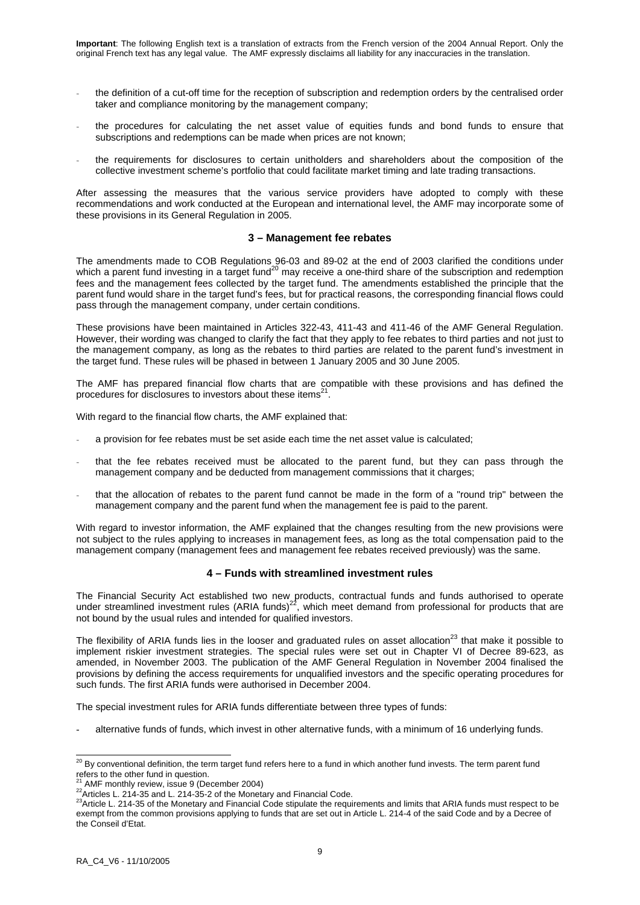- the definition of a cut-off time for the reception of subscription and redemption orders by the centralised order taker and compliance monitoring by the management company;
- the procedures for calculating the net asset value of equities funds and bond funds to ensure that subscriptions and redemptions can be made when prices are not known;
- the requirements for disclosures to certain unitholders and shareholders about the composition of the collective investment scheme's portfolio that could facilitate market timing and late trading transactions.

After assessing the measures that the various service providers have adopted to comply with these recommendations and work conducted at the European and international level, the AMF may incorporate some of these provisions in its General Regulation in 2005.

### **3 – Management fee rebates**

The amendments made to COB Regulations 96-03 and 89-02 at the end of 2003 clarified the conditions under which a parent fund investing in a target fund<sup>20</sup> may receive a one-third share of the subscription and redemption fees and the management fees collected by the target fund. The amendments established the principle that the parent fund would share in the target fund's fees, but for practical reasons, the corresponding financial flows could pass through the management company, under certain conditions.

These provisions have been maintained in Articles 322-43, 411-43 and 411-46 of the AMF General Regulation. However, their wording was changed to clarify the fact that they apply to fee rebates to third parties and not just to the management company, as long as the rebates to third parties are related to the parent fund's investment in the target fund. These rules will be phased in between 1 January 2005 and 30 June 2005.

The AMF has prepared financial flow charts that are compatible with these provisions and has defined the procedures for disclosures to investors about these items $^{21}$ .

With regard to the financial flow charts, the AMF explained that:

- a provision for fee rebates must be set aside each time the net asset value is calculated;
- that the fee rebates received must be allocated to the parent fund, but they can pass through the management company and be deducted from management commissions that it charges;
- that the allocation of rebates to the parent fund cannot be made in the form of a "round trip" between the management company and the parent fund when the management fee is paid to the parent.

With regard to investor information, the AMF explained that the changes resulting from the new provisions were not subject to the rules applying to increases in management fees, as long as the total compensation paid to the management company (management fees and management fee rebates received previously) was the same.

### **4 – Funds with streamlined investment rules**

The Financial Security Act established two new products, contractual funds and funds authorised to operate under streamlined investment rules (ARIA funds)<sup>22</sup>, which meet demand from professional for products that are not bound by the usual rules and intended for qualified investors.

The flexibility of ARIA funds lies in the looser and graduated rules on asset allocation $^{23}$  that make it possible to implement riskier investment strategies. The special rules were set out in Chapter VI of Decree 89-623, as amended, in November 2003. The publication of the AMF General Regulation in November 2004 finalised the provisions by defining the access requirements for unqualified investors and the specific operating procedures for such funds. The first ARIA funds were authorised in December 2004.

The special investment rules for ARIA funds differentiate between three types of funds:

alternative funds of funds, which invest in other alternative funds, with a minimum of 16 underlying funds.

 $\overline{a}$ 

 $^{20}$  By conventional definition, the term target fund refers here to a fund in which another fund invests. The term parent fund refers to the other fund in question.<br><sup>21</sup> AMF monthly review, issue 9 (December 2004)

 $\frac{22}{100}$  Articles L. 214-35 and L. 214-35-2 of the Monetary and Financial Code.<br> $\frac{23}{100}$  Articles L. 214-35 and L. 214-35-2 of the Monetary and Financial Code. exempt from the common provisions applying to funds that are set out in Article L. 214-4 of the said Code and by a Decree of the Conseil d'Etat.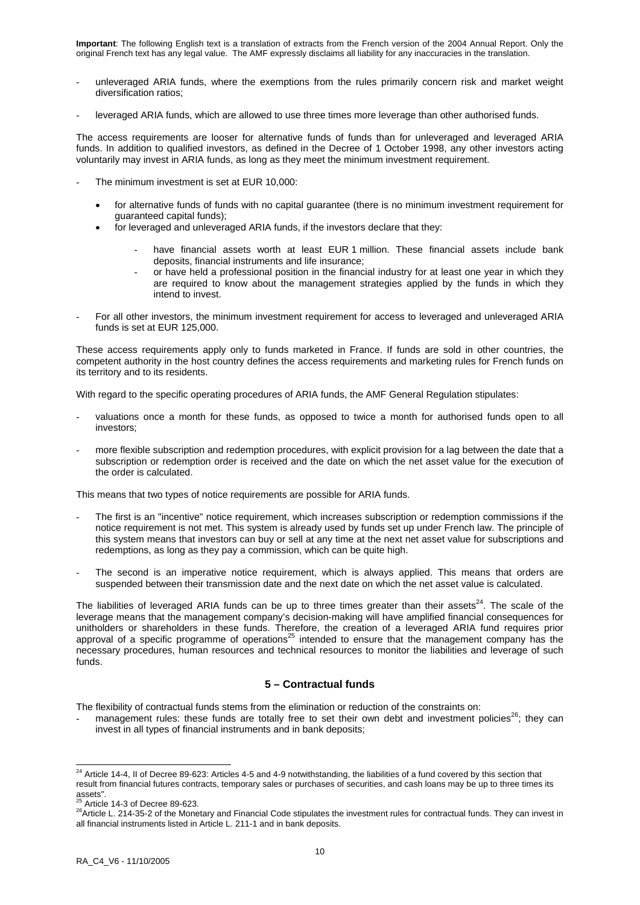- unleveraged ARIA funds, where the exemptions from the rules primarily concern risk and market weight diversification ratios;
- leveraged ARIA funds, which are allowed to use three times more leverage than other authorised funds.

The access requirements are looser for alternative funds of funds than for unleveraged and leveraged ARIA funds. In addition to qualified investors, as defined in the Decree of 1 October 1998, any other investors acting voluntarily may invest in ARIA funds, as long as they meet the minimum investment requirement.

- The minimum investment is set at EUR 10,000:
	- for alternative funds of funds with no capital guarantee (there is no minimum investment requirement for guaranteed capital funds);
	- for leveraged and unleveraged ARIA funds, if the investors declare that they:
		- have financial assets worth at least EUR 1 million. These financial assets include bank deposits, financial instruments and life insurance;
		- or have held a professional position in the financial industry for at least one year in which they are required to know about the management strategies applied by the funds in which they intend to invest.
- For all other investors, the minimum investment requirement for access to leveraged and unleveraged ARIA funds is set at EUR 125,000.

These access requirements apply only to funds marketed in France. If funds are sold in other countries, the competent authority in the host country defines the access requirements and marketing rules for French funds on its territory and to its residents.

With regard to the specific operating procedures of ARIA funds, the AMF General Regulation stipulates:

- valuations once a month for these funds, as opposed to twice a month for authorised funds open to all investors;
- more flexible subscription and redemption procedures, with explicit provision for a lag between the date that a subscription or redemption order is received and the date on which the net asset value for the execution of the order is calculated.

This means that two types of notice requirements are possible for ARIA funds.

- The first is an "incentive" notice requirement, which increases subscription or redemption commissions if the notice requirement is not met. This system is already used by funds set up under French law. The principle of this system means that investors can buy or sell at any time at the next net asset value for subscriptions and redemptions, as long as they pay a commission, which can be quite high.
- The second is an imperative notice requirement, which is always applied. This means that orders are suspended between their transmission date and the next date on which the net asset value is calculated.

The liabilities of leveraged ARIA funds can be up to three times greater than their assets<sup>24</sup>. The scale of the leverage means that the management company's decision-making will have amplified financial consequences for unitholders or shareholders in these funds. Therefore, the creation of a leveraged ARIA fund requires prior approval of a specific programme of operations<sup>25</sup> intended to ensure that the management company has the necessary procedures, human resources and technical resources to monitor the liabilities and leverage of such funds.

### **5 – Contractual funds**

The flexibility of contractual funds stems from the elimination or reduction of the constraints on:

management rules: these funds are totally free to set their own debt and investment policies<sup>26</sup>; they can invest in all types of financial instruments and in bank deposits;

<sup>-</sup> $^{24}$  Article 14-4, II of Decree 89-623: Articles 4-5 and 4-9 notwithstanding, the liabilities of a fund covered by this section that result from financial futures contracts, temporary sales or purchases of securities, and cash loans may be up to three times its assets".<br><sup>25</sup> Article 14-3 of Decree 89-623.

<sup>&</sup>lt;sup>26</sup>Article L. 214-35-2 of the Monetary and Financial Code stipulates the investment rules for contractual funds. They can invest in all financial instruments listed in Article L. 211-1 and in bank deposits.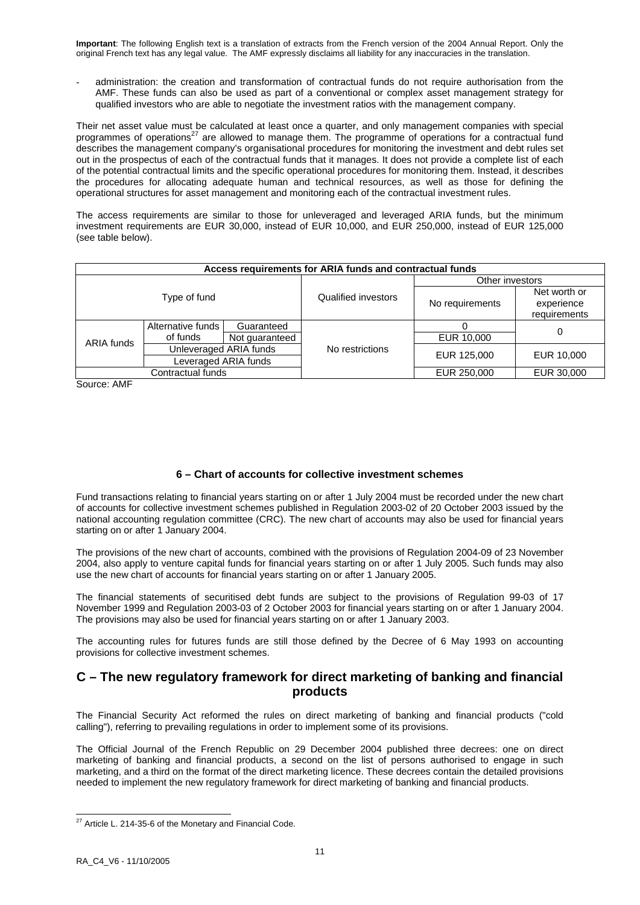administration: the creation and transformation of contractual funds do not require authorisation from the AMF. These funds can also be used as part of a conventional or complex asset management strategy for qualified investors who are able to negotiate the investment ratios with the management company.

Their net asset value must be calculated at least once a quarter, and only management companies with special programmes of operations<sup>27</sup> are allowed to manage them. The programme of operations for a contractual fund describes the management company's organisational procedures for monitoring the investment and debt rules set out in the prospectus of each of the contractual funds that it manages. It does not provide a complete list of each of the potential contractual limits and the specific operational procedures for monitoring them. Instead, it describes the procedures for allocating adequate human and technical resources, as well as those for defining the operational structures for asset management and monitoring each of the contractual investment rules.

The access requirements are similar to those for unleveraged and leveraged ARIA funds, but the minimum investment requirements are EUR 30,000, instead of EUR 10,000, and EUR 250,000, instead of EUR 125,000 (see table below).

| Access requirements for ARIA funds and contractual funds |                        |                |                     |                 |                                            |  |  |  |
|----------------------------------------------------------|------------------------|----------------|---------------------|-----------------|--------------------------------------------|--|--|--|
| Type of fund                                             |                        |                |                     | Other investors |                                            |  |  |  |
|                                                          |                        |                | Qualified investors | No requirements | Net worth or<br>experience<br>requirements |  |  |  |
|                                                          | Alternative funds      | Guaranteed     |                     |                 | 0                                          |  |  |  |
| ARIA funds                                               | of funds               | Not guaranteed |                     | EUR 10,000      |                                            |  |  |  |
|                                                          | Unleveraged ARIA funds |                | No restrictions     | EUR 125,000     | EUR 10,000                                 |  |  |  |
|                                                          | Leveraged ARIA funds   |                |                     |                 |                                            |  |  |  |
| Contractual funds                                        |                        |                |                     | EUR 250,000     | EUR 30,000                                 |  |  |  |

Source: AMF

## **6 – Chart of accounts for collective investment schemes**

Fund transactions relating to financial years starting on or after 1 July 2004 must be recorded under the new chart of accounts for collective investment schemes published in Regulation 2003-02 of 20 October 2003 issued by the national accounting regulation committee (CRC). The new chart of accounts may also be used for financial years starting on or after 1 January 2004.

The provisions of the new chart of accounts, combined with the provisions of Regulation 2004-09 of 23 November 2004, also apply to venture capital funds for financial years starting on or after 1 July 2005. Such funds may also use the new chart of accounts for financial years starting on or after 1 January 2005.

The financial statements of securitised debt funds are subject to the provisions of Regulation 99-03 of 17 November 1999 and Regulation 2003-03 of 2 October 2003 for financial years starting on or after 1 January 2004. The provisions may also be used for financial years starting on or after 1 January 2003.

The accounting rules for futures funds are still those defined by the Decree of 6 May 1993 on accounting provisions for collective investment schemes.

# **C – The new regulatory framework for direct marketing of banking and financial products**

The Financial Security Act reformed the rules on direct marketing of banking and financial products ("cold calling"), referring to prevailing regulations in order to implement some of its provisions.

The Official Journal of the French Republic on 29 December 2004 published three decrees: one on direct marketing of banking and financial products, a second on the list of persons authorised to engage in such marketing, and a third on the format of the direct marketing licence. These decrees contain the detailed provisions needed to implement the new regulatory framework for direct marketing of banking and financial products.

 $27$  Article L. 214-35-6 of the Monetary and Financial Code.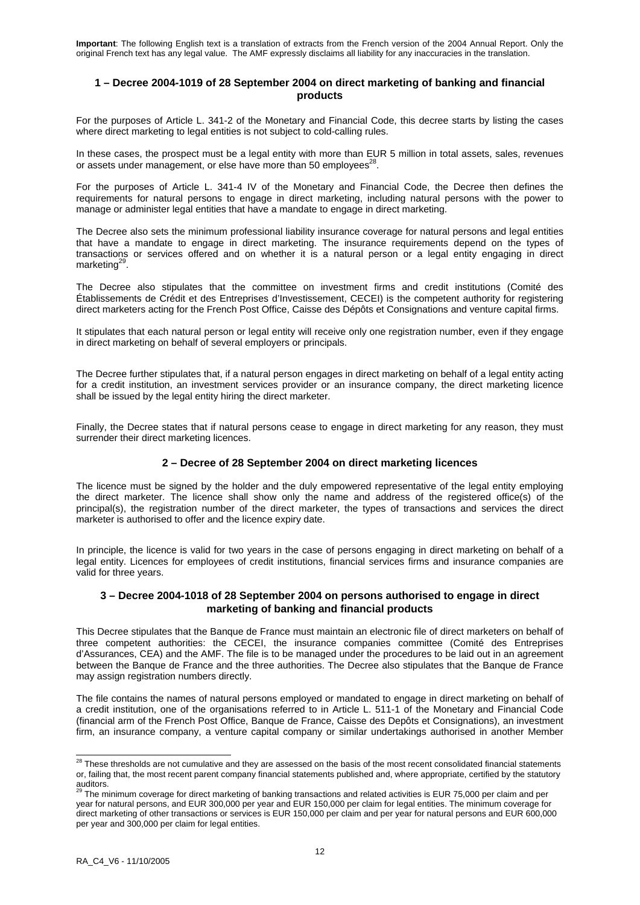### **1 – Decree 2004-1019 of 28 September 2004 on direct marketing of banking and financial products**

For the purposes of Article L. 341-2 of the Monetary and Financial Code, this decree starts by listing the cases where direct marketing to legal entities is not subject to cold-calling rules.

In these cases, the prospect must be a legal entity with more than EUR 5 million in total assets, sales, revenues or assets under management, or else have more than 50 employees<sup>28</sup>.

For the purposes of Article L. 341-4 IV of the Monetary and Financial Code, the Decree then defines the requirements for natural persons to engage in direct marketing, including natural persons with the power to manage or administer legal entities that have a mandate to engage in direct marketing.

The Decree also sets the minimum professional liability insurance coverage for natural persons and legal entities that have a mandate to engage in direct marketing. The insurance requirements depend on the types of transactions or services offered and on whether it is a natural person or a legal entity engaging in direct marketing $^{29}$ .

The Decree also stipulates that the committee on investment firms and credit institutions (Comité des Établissements de Crédit et des Entreprises d'Investissement, CECEI) is the competent authority for registering direct marketers acting for the French Post Office, Caisse des Dépôts et Consignations and venture capital firms.

It stipulates that each natural person or legal entity will receive only one registration number, even if they engage in direct marketing on behalf of several employers or principals.

The Decree further stipulates that, if a natural person engages in direct marketing on behalf of a legal entity acting for a credit institution, an investment services provider or an insurance company, the direct marketing licence shall be issued by the legal entity hiring the direct marketer.

Finally, the Decree states that if natural persons cease to engage in direct marketing for any reason, they must surrender their direct marketing licences.

### **2 – Decree of 28 September 2004 on direct marketing licences**

The licence must be signed by the holder and the duly empowered representative of the legal entity employing the direct marketer. The licence shall show only the name and address of the registered office(s) of the principal(s), the registration number of the direct marketer, the types of transactions and services the direct marketer is authorised to offer and the licence expiry date.

In principle, the licence is valid for two years in the case of persons engaging in direct marketing on behalf of a legal entity. Licences for employees of credit institutions, financial services firms and insurance companies are valid for three years.

### **3 – Decree 2004-1018 of 28 September 2004 on persons authorised to engage in direct marketing of banking and financial products**

This Decree stipulates that the Banque de France must maintain an electronic file of direct marketers on behalf of three competent authorities: the CECEI, the insurance companies committee (Comité des Entreprises d'Assurances, CEA) and the AMF. The file is to be managed under the procedures to be laid out in an agreement between the Banque de France and the three authorities. The Decree also stipulates that the Banque de France may assign registration numbers directly.

The file contains the names of natural persons employed or mandated to engage in direct marketing on behalf of a credit institution, one of the organisations referred to in Article L. 511-1 of the Monetary and Financial Code (financial arm of the French Post Office, Banque de France, Caisse des Depôts et Consignations), an investment firm, an insurance company, a venture capital company or similar undertakings authorised in another Member

 $\overline{a}$ 

 $^{28}$  These thresholds are not cumulative and they are assessed on the basis of the most recent consolidated financial statements or, failing that, the most recent parent company financial statements published and, where appropriate, certified by the statutory auditors.

<sup>&</sup>lt;sup>29</sup> The minimum coverage for direct marketing of banking transactions and related activities is EUR 75,000 per claim and per year for natural persons, and EUR 300,000 per year and EUR 150,000 per claim for legal entities. The minimum coverage for direct marketing of other transactions or services is EUR 150,000 per claim and per year for natural persons and EUR 600,000 per year and 300,000 per claim for legal entities.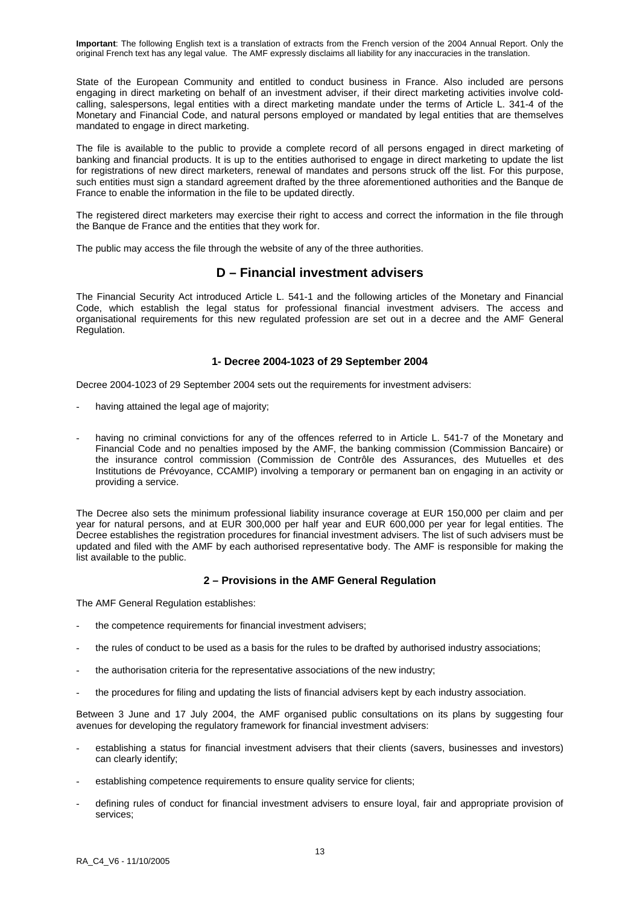State of the European Community and entitled to conduct business in France. Also included are persons engaging in direct marketing on behalf of an investment adviser, if their direct marketing activities involve coldcalling, salespersons, legal entities with a direct marketing mandate under the terms of Article L. 341-4 of the Monetary and Financial Code, and natural persons employed or mandated by legal entities that are themselves mandated to engage in direct marketing.

The file is available to the public to provide a complete record of all persons engaged in direct marketing of banking and financial products. It is up to the entities authorised to engage in direct marketing to update the list for registrations of new direct marketers, renewal of mandates and persons struck off the list. For this purpose, such entities must sign a standard agreement drafted by the three aforementioned authorities and the Banque de France to enable the information in the file to be updated directly.

The registered direct marketers may exercise their right to access and correct the information in the file through the Banque de France and the entities that they work for.

The public may access the file through the website of any of the three authorities.

# **D – Financial investment advisers**

The Financial Security Act introduced Article L. 541-1 and the following articles of the Monetary and Financial Code, which establish the legal status for professional financial investment advisers. The access and organisational requirements for this new regulated profession are set out in a decree and the AMF General Regulation.

### **1- Decree 2004-1023 of 29 September 2004**

Decree 2004-1023 of 29 September 2004 sets out the requirements for investment advisers:

- having attained the legal age of majority;
- having no criminal convictions for any of the offences referred to in Article L. 541-7 of the Monetary and Financial Code and no penalties imposed by the AMF, the banking commission (Commission Bancaire) or the insurance control commission (Commission de Contrôle des Assurances, des Mutuelles et des Institutions de Prévoyance, CCAMIP) involving a temporary or permanent ban on engaging in an activity or providing a service.

The Decree also sets the minimum professional liability insurance coverage at EUR 150,000 per claim and per year for natural persons, and at EUR 300,000 per half year and EUR 600,000 per year for legal entities. The Decree establishes the registration procedures for financial investment advisers. The list of such advisers must be updated and filed with the AMF by each authorised representative body. The AMF is responsible for making the list available to the public.

### **2 – Provisions in the AMF General Regulation**

The AMF General Regulation establishes:

- the competence requirements for financial investment advisers:
- the rules of conduct to be used as a basis for the rules to be drafted by authorised industry associations;
- the authorisation criteria for the representative associations of the new industry;
- the procedures for filing and updating the lists of financial advisers kept by each industry association.

Between 3 June and 17 July 2004, the AMF organised public consultations on its plans by suggesting four avenues for developing the regulatory framework for financial investment advisers:

- establishing a status for financial investment advisers that their clients (savers, businesses and investors) can clearly identify;
- establishing competence requirements to ensure quality service for clients;
- defining rules of conduct for financial investment advisers to ensure loyal, fair and appropriate provision of services;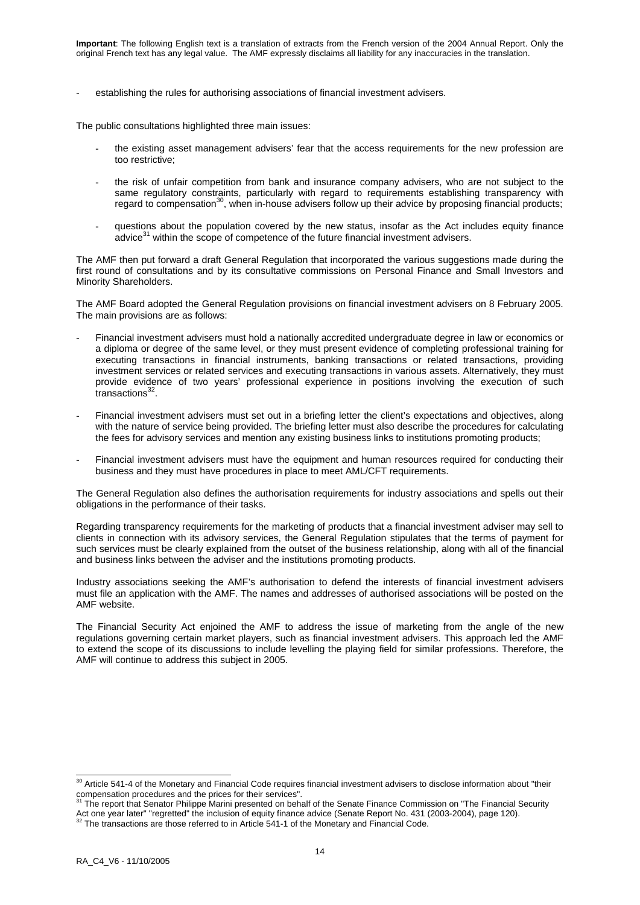establishing the rules for authorising associations of financial investment advisers.

The public consultations highlighted three main issues:

- the existing asset management advisers' fear that the access requirements for the new profession are too restrictive;
- the risk of unfair competition from bank and insurance company advisers, who are not subject to the same regulatory constraints, particularly with regard to requirements establishing transparency with regard to compensation<sup>30</sup>, when in-house advisers follow up their advice by proposing financial products;
- questions about the population covered by the new status, insofar as the Act includes equity finance advice<sup>31</sup> within the scope of competence of the future financial investment advisers.

The AMF then put forward a draft General Regulation that incorporated the various suggestions made during the first round of consultations and by its consultative commissions on Personal Finance and Small Investors and Minority Shareholders.

The AMF Board adopted the General Regulation provisions on financial investment advisers on 8 February 2005. The main provisions are as follows:

- Financial investment advisers must hold a nationally accredited undergraduate degree in law or economics or a diploma or degree of the same level, or they must present evidence of completing professional training for executing transactions in financial instruments, banking transactions or related transactions, providing investment services or related services and executing transactions in various assets. Alternatively, they must provide evidence of two years' professional experience in positions involving the execution of such  $transactions<sup>32</sup>$ .
- Financial investment advisers must set out in a briefing letter the client's expectations and objectives, along with the nature of service being provided. The briefing letter must also describe the procedures for calculating the fees for advisory services and mention any existing business links to institutions promoting products;
- Financial investment advisers must have the equipment and human resources required for conducting their business and they must have procedures in place to meet AML/CFT requirements.

The General Regulation also defines the authorisation requirements for industry associations and spells out their obligations in the performance of their tasks.

Regarding transparency requirements for the marketing of products that a financial investment adviser may sell to clients in connection with its advisory services, the General Regulation stipulates that the terms of payment for such services must be clearly explained from the outset of the business relationship, along with all of the financial and business links between the adviser and the institutions promoting products.

Industry associations seeking the AMF's authorisation to defend the interests of financial investment advisers must file an application with the AMF. The names and addresses of authorised associations will be posted on the AMF website.

The Financial Security Act enjoined the AMF to address the issue of marketing from the angle of the new regulations governing certain market players, such as financial investment advisers. This approach led the AMF to extend the scope of its discussions to include levelling the playing field for similar professions. Therefore, the AMF will continue to address this subject in 2005.

 $30$  Article 541-4 of the Monetary and Financial Code requires financial investment advisers to disclose information about "their compensation procedures and the prices for their services". 31 The report that Senator Philippe Marini presented on behalf of the Senate Finance Commission on "The Financial Security"<br><sup>31</sup> The report that Senator Philippe

Act one year later" "regretted" the inclusion of equity finance advice (Senate Report No. 431 (2003-2004), page 120). <sup>32</sup> The transactions are those referred to in Article 541-1 of the Monetary and Financial Code.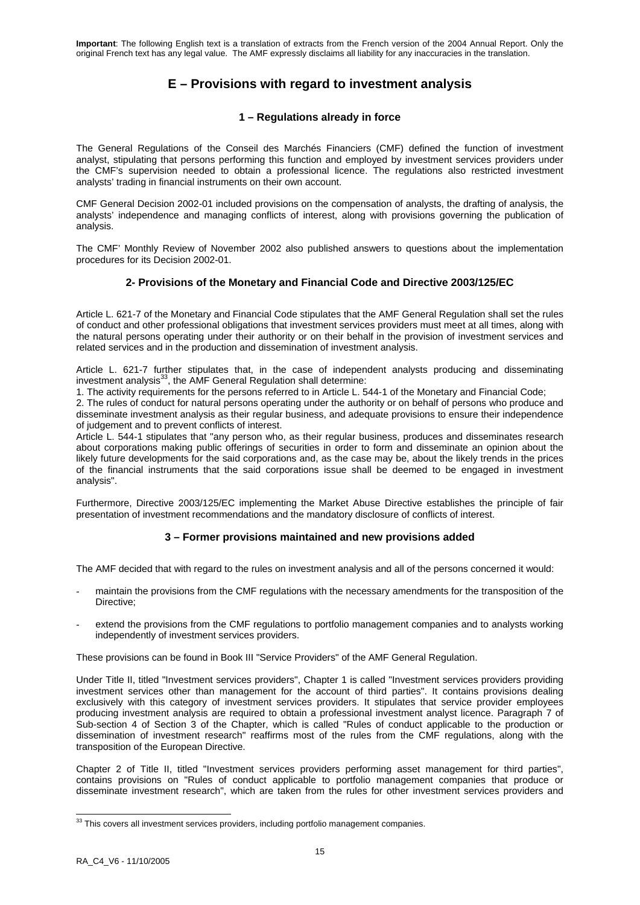# **E – Provisions with regard to investment analysis**

## **1 – Regulations already in force**

The General Regulations of the Conseil des Marchés Financiers (CMF) defined the function of investment analyst, stipulating that persons performing this function and employed by investment services providers under the CMF's supervision needed to obtain a professional licence. The regulations also restricted investment analysts' trading in financial instruments on their own account.

CMF General Decision 2002-01 included provisions on the compensation of analysts, the drafting of analysis, the analysts' independence and managing conflicts of interest, along with provisions governing the publication of analysis.

The CMF' Monthly Review of November 2002 also published answers to questions about the implementation procedures for its Decision 2002-01.

## **2- Provisions of the Monetary and Financial Code and Directive 2003/125/EC**

Article L. 621-7 of the Monetary and Financial Code stipulates that the AMF General Regulation shall set the rules of conduct and other professional obligations that investment services providers must meet at all times, along with the natural persons operating under their authority or on their behalf in the provision of investment services and related services and in the production and dissemination of investment analysis.

Article L. 621-7 further stipulates that, in the case of independent analysts producing and disseminating investment analysis $^{33}$ , the AMF General Regulation shall determine:

1. The activity requirements for the persons referred to in Article L. 544-1 of the Monetary and Financial Code;

2. The rules of conduct for natural persons operating under the authority or on behalf of persons who produce and disseminate investment analysis as their regular business, and adequate provisions to ensure their independence of judgement and to prevent conflicts of interest.

Article L. 544-1 stipulates that "any person who, as their regular business, produces and disseminates research about corporations making public offerings of securities in order to form and disseminate an opinion about the likely future developments for the said corporations and, as the case may be, about the likely trends in the prices of the financial instruments that the said corporations issue shall be deemed to be engaged in investment analysis".

Furthermore, Directive 2003/125/EC implementing the Market Abuse Directive establishes the principle of fair presentation of investment recommendations and the mandatory disclosure of conflicts of interest.

## **3 – Former provisions maintained and new provisions added**

The AMF decided that with regard to the rules on investment analysis and all of the persons concerned it would:

- maintain the provisions from the CMF regulations with the necessary amendments for the transposition of the Directive;
- extend the provisions from the CMF regulations to portfolio management companies and to analysts working independently of investment services providers.

These provisions can be found in Book III "Service Providers" of the AMF General Regulation.

Under Title II, titled "Investment services providers", Chapter 1 is called "Investment services providers providing investment services other than management for the account of third parties". It contains provisions dealing exclusively with this category of investment services providers. It stipulates that service provider employees producing investment analysis are required to obtain a professional investment analyst licence. Paragraph 7 of Sub-section 4 of Section 3 of the Chapter, which is called "Rules of conduct applicable to the production or dissemination of investment research" reaffirms most of the rules from the CMF regulations, along with the transposition of the European Directive.

Chapter 2 of Title II, titled "Investment services providers performing asset management for third parties", contains provisions on "Rules of conduct applicable to portfolio management companies that produce or disseminate investment research", which are taken from the rules for other investment services providers and

 $33$  This covers all investment services providers, including portfolio management companies.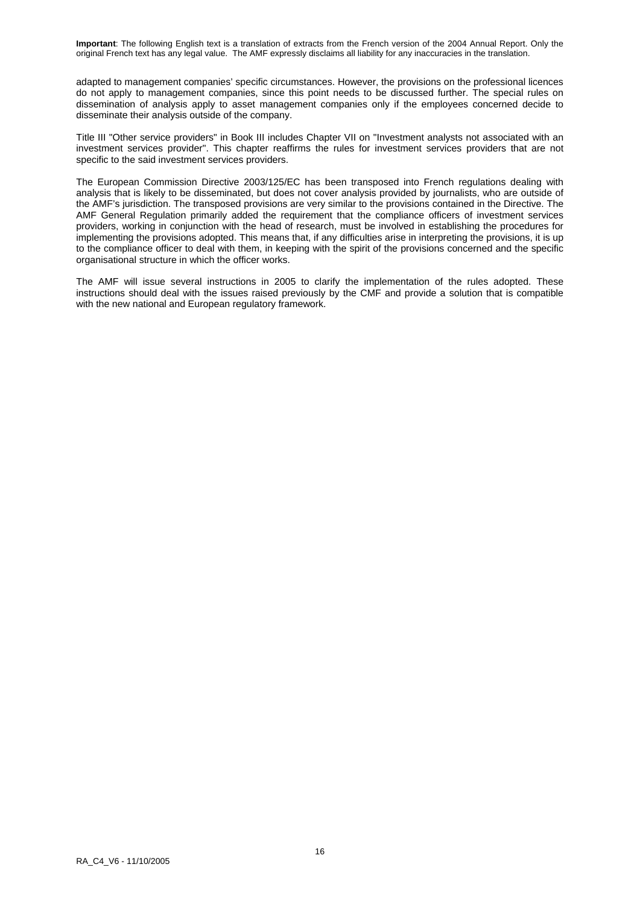adapted to management companies' specific circumstances. However, the provisions on the professional licences do not apply to management companies, since this point needs to be discussed further. The special rules on dissemination of analysis apply to asset management companies only if the employees concerned decide to disseminate their analysis outside of the company.

Title III "Other service providers" in Book III includes Chapter VII on "Investment analysts not associated with an investment services provider". This chapter reaffirms the rules for investment services providers that are not specific to the said investment services providers.

The European Commission Directive 2003/125/EC has been transposed into French regulations dealing with analysis that is likely to be disseminated, but does not cover analysis provided by journalists, who are outside of the AMF's jurisdiction. The transposed provisions are very similar to the provisions contained in the Directive. The AMF General Regulation primarily added the requirement that the compliance officers of investment services providers, working in conjunction with the head of research, must be involved in establishing the procedures for implementing the provisions adopted. This means that, if any difficulties arise in interpreting the provisions, it is up to the compliance officer to deal with them, in keeping with the spirit of the provisions concerned and the specific organisational structure in which the officer works.

The AMF will issue several instructions in 2005 to clarify the implementation of the rules adopted. These instructions should deal with the issues raised previously by the CMF and provide a solution that is compatible with the new national and European regulatory framework.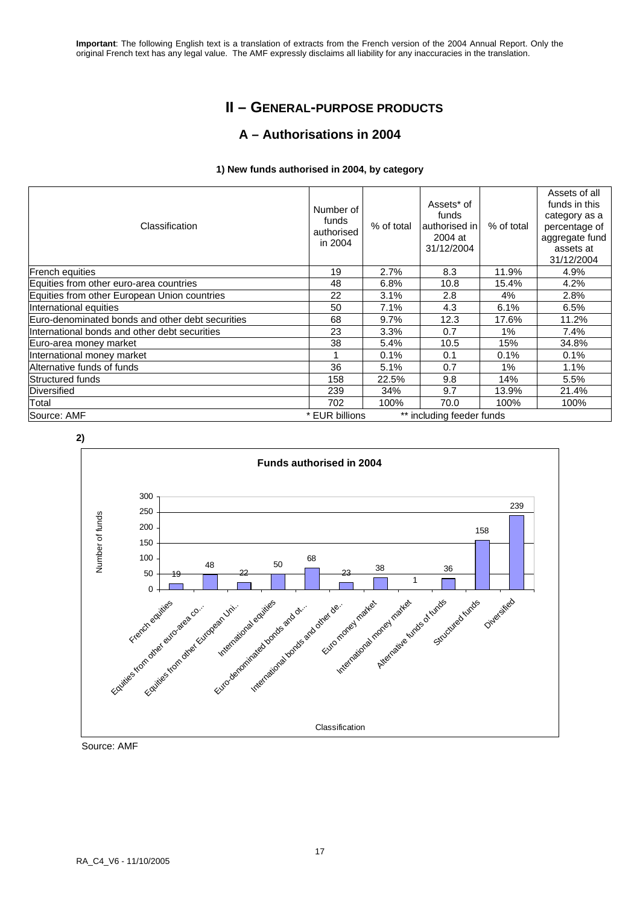# **II – GENERAL-PURPOSE PRODUCTS**

# **A – Authorisations in 2004**

### **1) New funds authorised in 2004, by category**

| Classification                                   | Number of<br>funds<br>authorised<br>in 2004 | % of total | Assets* of<br>funds<br>authorised in<br>2004 at<br>31/12/2004 | % of total | Assets of all<br>funds in this<br>category as a<br>percentage of<br>aggregate fund<br>assets at<br>31/12/2004 |
|--------------------------------------------------|---------------------------------------------|------------|---------------------------------------------------------------|------------|---------------------------------------------------------------------------------------------------------------|
| French equities                                  | 19                                          | 2.7%       | 8.3                                                           | 11.9%      | 4.9%                                                                                                          |
| Equities from other euro-area countries          | 48                                          | 6.8%       | 10.8                                                          | 15.4%      | 4.2%                                                                                                          |
| Equities from other European Union countries     | 22                                          | 3.1%       | 2.8                                                           | 4%         | 2.8%                                                                                                          |
| International equities                           | 50                                          | 7.1%       | 4.3                                                           | 6.1%       | 6.5%                                                                                                          |
| Euro-denominated bonds and other debt securities | 68                                          | 9.7%       | 12.3                                                          | 17.6%      | 11.2%                                                                                                         |
| International bonds and other debt securities    | 23                                          | 3.3%       | 0.7                                                           | 1%         | 7.4%                                                                                                          |
| Euro-area money market                           | 38                                          | 5.4%       | 10.5                                                          | 15%        | 34.8%                                                                                                         |
| International money market                       |                                             | 0.1%       | 0.1                                                           | 0.1%       | 0.1%                                                                                                          |
| Alternative funds of funds                       | 36                                          | 5.1%       | 0.7                                                           | $1\%$      | 1.1%                                                                                                          |
| Structured funds                                 | 158                                         | 22.5%      | 9.8                                                           | 14%        | 5.5%                                                                                                          |
| Diversified                                      | 239                                         | 34%        | 9.7                                                           | 13.9%      | 21.4%                                                                                                         |
| Total                                            | 702                                         | 100%       | 70.0                                                          | 100%       | 100%                                                                                                          |
| Source: AMF                                      | * EUR billions                              |            | ** including feeder funds                                     |            |                                                                                                               |



Source: AMF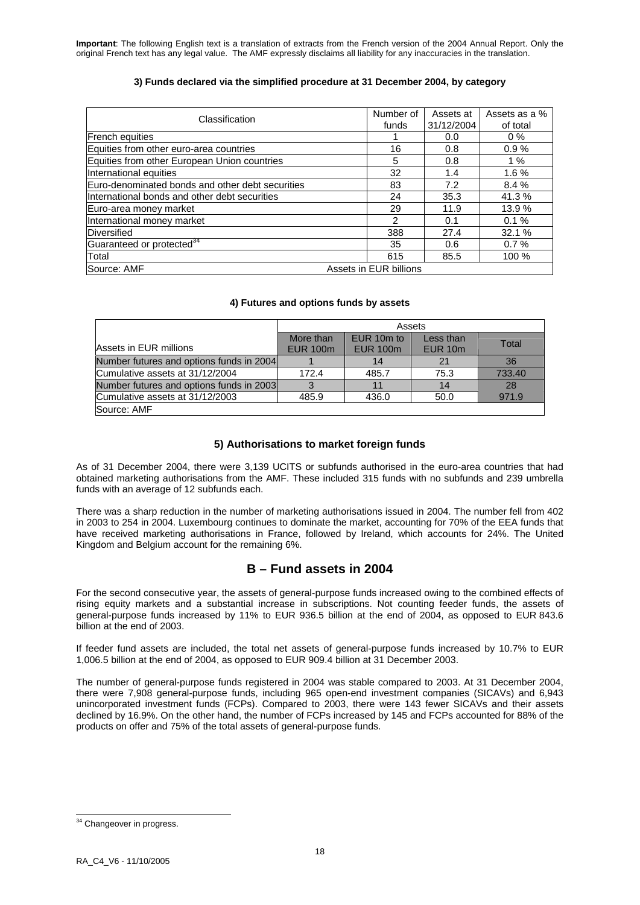### **3) Funds declared via the simplified procedure at 31 December 2004, by category**

| Classification                                   | Number of<br>funds | Assets at<br>31/12/2004 | Assets as a %<br>of total |        |
|--------------------------------------------------|--------------------|-------------------------|---------------------------|--------|
| French equities                                  |                    |                         | 0.0                       | $0\%$  |
| Equities from other euro-area countries          |                    | 16                      | 0.8                       | 0.9%   |
| Equities from other European Union countries     |                    | 5                       | 0.8                       | 1%     |
| International equities                           |                    | 32                      | 1.4                       | 1.6%   |
| Euro-denominated bonds and other debt securities |                    | 83                      | 7.2                       | 8.4%   |
| International bonds and other debt securities    |                    | 24                      | 35.3                      | 41.3%  |
| Euro-area money market                           |                    | 29                      | 11.9                      | 13.9 % |
| International money market                       |                    | 2                       | 0.1                       | 0.1%   |
| Diversified                                      |                    | 388                     | 27.4                      | 32.1 % |
| Guaranteed or protected <sup>34</sup>            |                    | 35                      | 0.6                       | 0.7%   |
| Total                                            |                    | 615                     | 85.5                      | 100 %  |
| Source: AMF                                      |                    | Assets in EUR billions  |                           |        |

### **4) Futures and options funds by assets**

|                                          | Assets          |                 |                    |        |  |  |  |  |
|------------------------------------------|-----------------|-----------------|--------------------|--------|--|--|--|--|
|                                          | More than       | EUR 10m to      | Less than          | Total  |  |  |  |  |
| Assets in EUR millions                   | <b>EUR 100m</b> | <b>EUR 100m</b> | EUR <sub>10m</sub> |        |  |  |  |  |
| Number futures and options funds in 2004 |                 | 14              | 21                 | 36     |  |  |  |  |
| Cumulative assets at 31/12/2004          | 172.4           | 485.7           | 75.3               | 733.40 |  |  |  |  |
| Number futures and options funds in 2003 | 3               |                 | 14                 | 28     |  |  |  |  |
| Cumulative assets at 31/12/2003          | 485.9           | 436.0           | 50.0               | 971.9  |  |  |  |  |
| Source: AMF                              |                 |                 |                    |        |  |  |  |  |

## **5) Authorisations to market foreign funds**

As of 31 December 2004, there were 3,139 UCITS or subfunds authorised in the euro-area countries that had obtained marketing authorisations from the AMF. These included 315 funds with no subfunds and 239 umbrella funds with an average of 12 subfunds each.

There was a sharp reduction in the number of marketing authorisations issued in 2004. The number fell from 402 in 2003 to 254 in 2004. Luxembourg continues to dominate the market, accounting for 70% of the EEA funds that have received marketing authorisations in France, followed by Ireland, which accounts for 24%. The United Kingdom and Belgium account for the remaining 6%.

## **B – Fund assets in 2004**

For the second consecutive year, the assets of general-purpose funds increased owing to the combined effects of rising equity markets and a substantial increase in subscriptions. Not counting feeder funds, the assets of general-purpose funds increased by 11% to EUR 936.5 billion at the end of 2004, as opposed to EUR 843.6 billion at the end of 2003.

If feeder fund assets are included, the total net assets of general-purpose funds increased by 10.7% to EUR 1,006.5 billion at the end of 2004, as opposed to EUR 909.4 billion at 31 December 2003.

The number of general-purpose funds registered in 2004 was stable compared to 2003. At 31 December 2004, there were 7,908 general-purpose funds, including 965 open-end investment companies (SICAVs) and 6,943 unincorporated investment funds (FCPs). Compared to 2003, there were 143 fewer SICAVs and their assets declined by 16.9%. On the other hand, the number of FCPs increased by 145 and FCPs accounted for 88% of the products on offer and 75% of the total assets of general-purpose funds.

<sup>-</sup><sup>34</sup> Changeover in progress.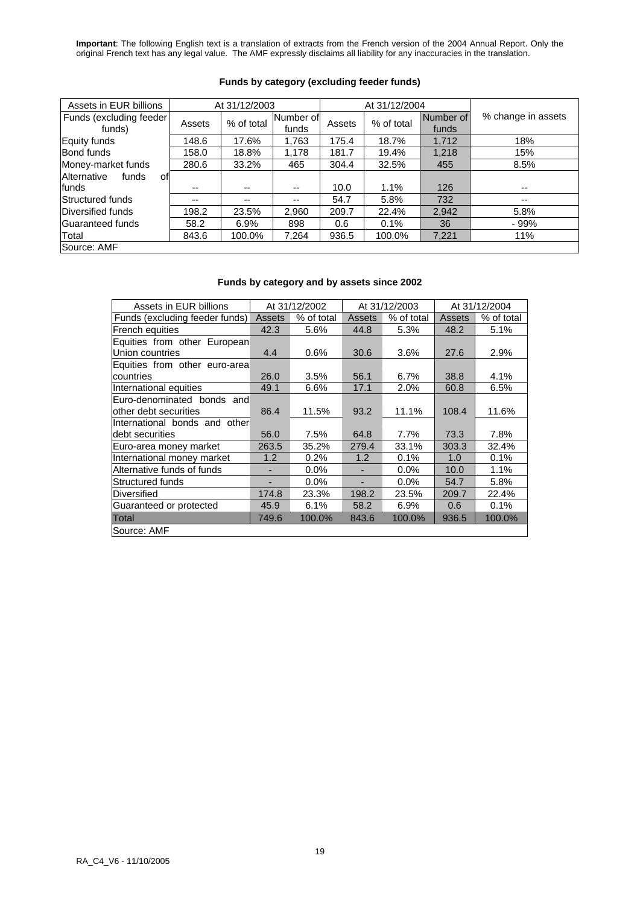| Assets in EUR billions             |        | At 31/12/2003 |                    |        | At 31/12/2004 |                    |                    |  |  |
|------------------------------------|--------|---------------|--------------------|--------|---------------|--------------------|--------------------|--|--|
| Funds (excluding feeder)<br>funds) | Assets | % of total    | Number of<br>funds | Assets | % of total    | Number of<br>funds | % change in assets |  |  |
| Equity funds                       | 148.6  | 17.6%         | 1,763              | 175.4  | 18.7%         | 1,712              | 18%                |  |  |
| <b>Bond funds</b>                  | 158.0  | 18.8%         | 1,178              | 181.7  | 19.4%         | 1,218              | 15%                |  |  |
| Money-market funds                 | 280.6  | 33.2%         | 465                | 304.4  | 32.5%<br>455  |                    | 8.5%               |  |  |
| Alternative<br>funds<br>οf         |        |               |                    |        |               |                    |                    |  |  |
| lfunds                             | --     | $- -$         | --                 | 10.0   | 1.1%          | 126                | $- -$              |  |  |
| Structured funds                   | --     | --            | --                 | 54.7   | 5.8%          | 732                | $- -$              |  |  |
| Diversified funds                  | 198.2  | 23.5%         | 2,960              | 209.7  | 22.4%         | 2,942              | 5.8%               |  |  |
| Guaranteed funds                   | 58.2   | 6.9%          | 898                | 0.6    | 0.1%          | 36                 | $-99%$             |  |  |
| Total                              | 843.6  | 100.0%        | 7,264              | 936.5  | 100.0%        | 7,221              | 11%                |  |  |
| Source: AMF                        |        |               |                    |        |               |                    |                    |  |  |

### **Funds by category (excluding feeder funds)**

## **Funds by category and by assets since 2002**

| Assets in EUR billions         | At 31/12/2002 |            |        | At 31/12/2003 | At 31/12/2004 |            |  |
|--------------------------------|---------------|------------|--------|---------------|---------------|------------|--|
| Funds (excluding feeder funds) | Assets        | % of total | Assets | % of total    | Assets        | % of total |  |
| French equities                | 42.3          | 5.6%       | 44.8   | 5.3%          | 48.2          | 5.1%       |  |
| Equities from other European   |               |            |        |               |               |            |  |
| Union countries                | 4.4           | 0.6%       | 30.6   | 3.6%          | 27.6          | 2.9%       |  |
| Equities from other euro-area  |               |            |        |               |               |            |  |
| countries                      | 26.0          | 3.5%       | 56.1   | 6.7%          | 38.8          | 4.1%       |  |
| International equities         | 49.1          | 6.6%       | 17.1   | 2.0%          | 60.8          | 6.5%       |  |
| Euro-denominated bonds and     |               |            |        |               |               |            |  |
| other debt securities          | 86.4          | 11.5%      | 93.2   | 11.1%         | 108.4         | 11.6%      |  |
| International bonds and other  |               |            |        |               |               |            |  |
| ldebt securities               | 56.0          | 7.5%       | 64.8   | 7.7%          | 73.3          | 7.8%       |  |
| Euro-area money market         | 263.5         | 35.2%      | 279.4  | 33.1%         | 303.3         | 32.4%      |  |
| International money market     | 1.2           | 0.2%       | 1.2    | 0.1%          | 1.0           | 0.1%       |  |
| Alternative funds of funds     | ٠             | $0.0\%$    | ۰      | 0.0%          | 10.0          | 1.1%       |  |
| Structured funds               |               | $0.0\%$    |        | $0.0\%$       | 54.7          | 5.8%       |  |
| <b>Diversified</b>             | 174.8         | 23.3%      | 198.2  | 23.5%         | 209.7         | 22.4%      |  |
| Guaranteed or protected        | 45.9          | 6.1%       | 58.2   | 6.9%          | 0.6           | 0.1%       |  |
| Total                          | 749.6         | 100.0%     | 843.6  | 100.0%        | 936.5         | 100.0%     |  |
| Source: AMF                    |               |            |        |               |               |            |  |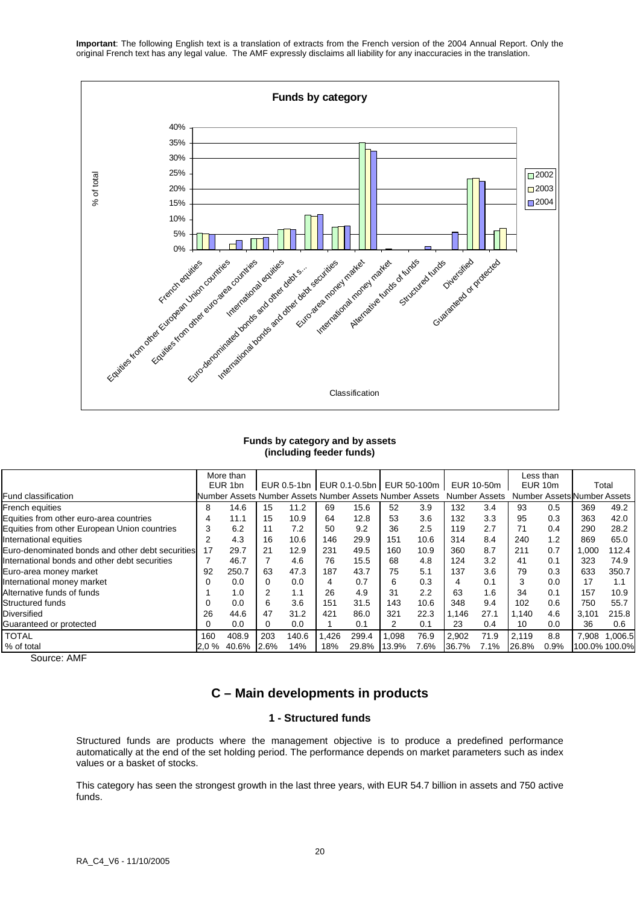

#### **Funds by category and by assets (including feeder funds)**

|                                                  |      | More than |      |       |      |                                                         |       |      |       |                      |       | Less than |                             |               |
|--------------------------------------------------|------|-----------|------|-------|------|---------------------------------------------------------|-------|------|-------|----------------------|-------|-----------|-----------------------------|---------------|
|                                                  |      | EUR 1bn   |      |       |      | EUR 0.5-1bn   EUR 0.1-0.5bn   EUR 50-100m               |       |      |       | EUR 10-50m           |       | EUR 10m   |                             | Total         |
| Fund classification                              |      |           |      |       |      | Number Assets Number Assets Number Assets Number Assets |       |      |       | <b>Number Assets</b> |       |           | Number Assets Number Assets |               |
| <b>French equities</b>                           | 8    | 14.6      | 15   | 11.2  | 69   | 15.6                                                    | 52    | 3.9  | 132   | 3.4                  | 93    | 0.5       | 369                         | 49.2          |
| Equities from other euro-area countries          |      | 11.1      | 15   | 10.9  | 64   | 12.8                                                    | 53    | 3.6  | 132   | 3.3                  | 95    | 0.3       | 363                         | 42.0          |
| Equities from other European Union countries     | 3    | 6.2       | 11   | 7.2   | 50   | 9.2                                                     | 36    | 2.5  | 119   | 2.7                  | 71    | 0.4       | 290                         | 28.2          |
| International equities                           | 2    | 4.3       | 16   | 10.6  | 146  | 29.9                                                    | 151   | 10.6 | 314   | 8.4                  | 240   | 1.2       | 869                         | 65.0          |
| Euro-denominated bonds and other debt securities | 17   | 29.7      | 21   | 12.9  | 231  | 49.5                                                    | 160   | 10.9 | 360   | 8.7                  | 211   | 0.7       | 1,000                       | 112.4         |
| International bonds and other debt securities    |      | 46.7      |      | 4.6   | 76   | 15.5                                                    | 68    | 4.8  | 124   | 3.2                  | 41    | 0.1       | 323                         | 74.9          |
| Euro-area money market                           | 92   | 250.7     | 63   | 47.3  | 187  | 43.7                                                    | 75    | 5.1  | 137   | 3.6                  | 79    | 0.3       | 633                         | 350.7         |
| International money market                       |      | 0.0       |      | 0.0   | 4    | 0.7                                                     | 6     | 0.3  | 4     | 0.1                  | 3     | 0.0       | 17                          | 1.1           |
| Alternative funds of funds                       |      | 1.0       |      | 1.1   | 26   | 4.9                                                     | 31    | 2.2  | 63    | 1.6                  | 34    | 0.1       | 157                         | 10.9          |
| Structured funds                                 |      | 0.0       | 6    | 3.6   | 151  | 31.5                                                    | 143   | 10.6 | 348   | 9.4                  | 102   | 0.6       | 750                         | 55.7          |
| Diversified                                      | 26   | 44.6      | 47   | 31.2  | 421  | 86.0                                                    | 321   | 22.3 | 1.146 | 27.1                 | 1.140 | 4.6       | 3.101                       | 215.8         |
| Guaranteed or protected                          | 0    | 0.0       |      | 0.0   |      | 0.1                                                     | 2     | 0.1  | 23    | 0.4                  | 10    | 0.0       | 36                          | 0.6           |
| <b>TOTAL</b>                                     | 160  | 408.9     | 203  | 140.6 | .426 | 299.4                                                   | .098  | 76.9 | 2,902 | 71.9                 | 2,119 | 8.8       | 7.908                       | 1.006.5       |
| % of total                                       | 2.0% | 40.6%     | 2.6% | 14%   | 18%  | 29.8%                                                   | 13.9% | 7.6% | 36.7% | 7.1%                 | 26.8% | 0.9%      |                             | 100.0% 100.0% |

Source: AMF

# **C – Main developments in products**

### **1 - Structured funds**

Structured funds are products where the management objective is to produce a predefined performance automatically at the end of the set holding period. The performance depends on market parameters such as index values or a basket of stocks.

This category has seen the strongest growth in the last three years, with EUR 54.7 billion in assets and 750 active funds.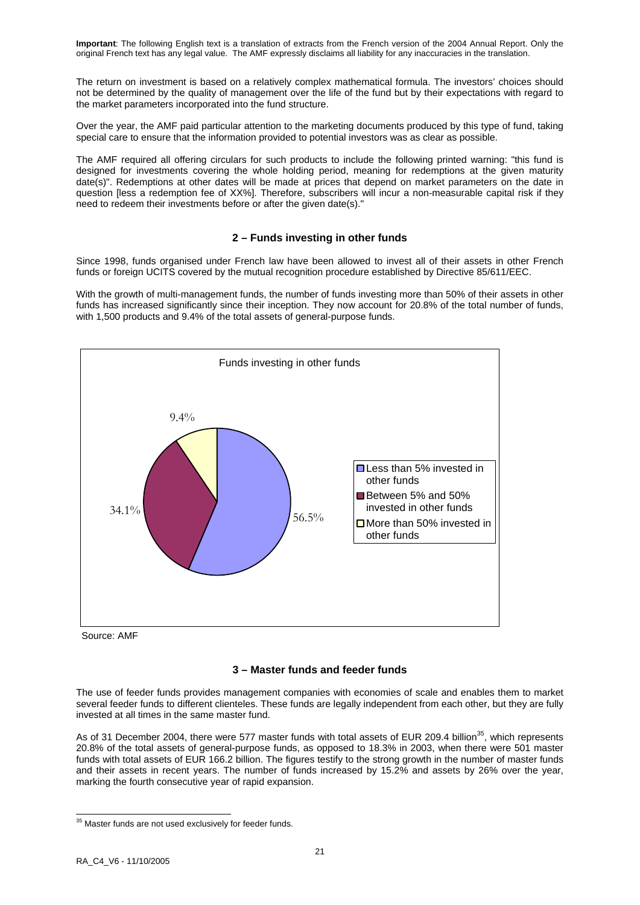The return on investment is based on a relatively complex mathematical formula. The investors' choices should not be determined by the quality of management over the life of the fund but by their expectations with regard to the market parameters incorporated into the fund structure.

Over the year, the AMF paid particular attention to the marketing documents produced by this type of fund, taking special care to ensure that the information provided to potential investors was as clear as possible.

The AMF required all offering circulars for such products to include the following printed warning: "this fund is designed for investments covering the whole holding period, meaning for redemptions at the given maturity date(s)". Redemptions at other dates will be made at prices that depend on market parameters on the date in question [less a redemption fee of XX%]. Therefore, subscribers will incur a non-measurable capital risk if they need to redeem their investments before or after the given date(s)."

## **2 – Funds investing in other funds**

Since 1998, funds organised under French law have been allowed to invest all of their assets in other French funds or foreign UCITS covered by the mutual recognition procedure established by Directive 85/611/EEC.

With the growth of multi-management funds, the number of funds investing more than 50% of their assets in other funds has increased significantly since their inception. They now account for 20.8% of the total number of funds, with 1,500 products and 9.4% of the total assets of general-purpose funds.



Source: AMF

### **3 – Master funds and feeder funds**

The use of feeder funds provides management companies with economies of scale and enables them to market several feeder funds to different clienteles. These funds are legally independent from each other, but they are fully invested at all times in the same master fund.

As of 31 December 2004, there were 577 master funds with total assets of EUR 209.4 billion<sup>35</sup>, which represents 20.8% of the total assets of general-purpose funds, as opposed to 18.3% in 2003, when there were 501 master funds with total assets of EUR 166.2 billion. The figures testify to the strong growth in the number of master funds and their assets in recent years. The number of funds increased by 15.2% and assets by 26% over the year, marking the fourth consecutive year of rapid expansion.

<sup>-</sup> $35$  Master funds are not used exclusively for feeder funds.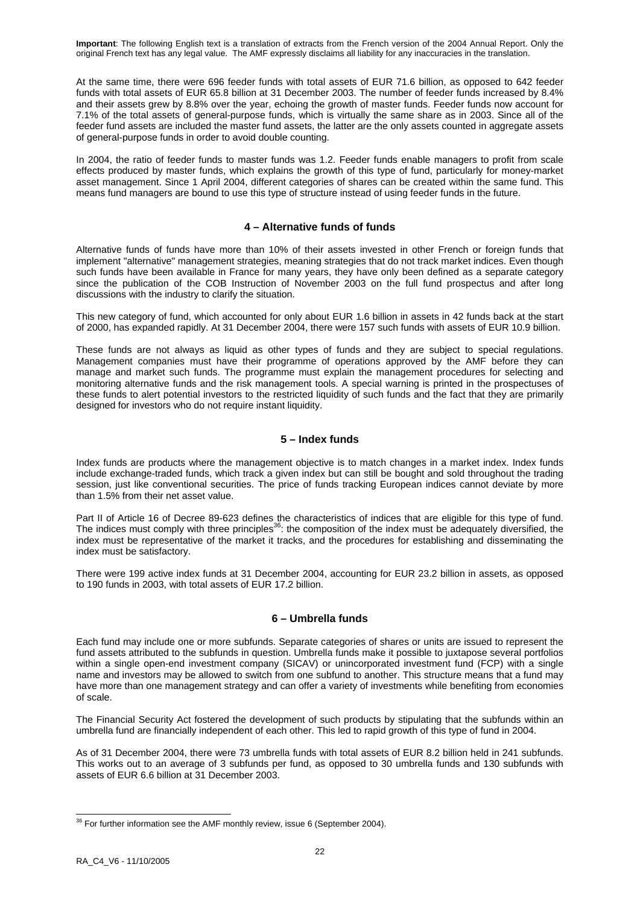At the same time, there were 696 feeder funds with total assets of EUR 71.6 billion, as opposed to 642 feeder funds with total assets of EUR 65.8 billion at 31 December 2003. The number of feeder funds increased by 8.4% and their assets grew by 8.8% over the year, echoing the growth of master funds. Feeder funds now account for 7.1% of the total assets of general-purpose funds, which is virtually the same share as in 2003. Since all of the feeder fund assets are included the master fund assets, the latter are the only assets counted in aggregate assets of general-purpose funds in order to avoid double counting.

In 2004, the ratio of feeder funds to master funds was 1.2. Feeder funds enable managers to profit from scale effects produced by master funds, which explains the growth of this type of fund, particularly for money-market asset management. Since 1 April 2004, different categories of shares can be created within the same fund. This means fund managers are bound to use this type of structure instead of using feeder funds in the future.

### **4 – Alternative funds of funds**

Alternative funds of funds have more than 10% of their assets invested in other French or foreign funds that implement "alternative" management strategies, meaning strategies that do not track market indices. Even though such funds have been available in France for many years, they have only been defined as a separate category since the publication of the COB Instruction of November 2003 on the full fund prospectus and after long discussions with the industry to clarify the situation.

This new category of fund, which accounted for only about EUR 1.6 billion in assets in 42 funds back at the start of 2000, has expanded rapidly. At 31 December 2004, there were 157 such funds with assets of EUR 10.9 billion.

These funds are not always as liquid as other types of funds and they are subject to special regulations. Management companies must have their programme of operations approved by the AMF before they can manage and market such funds. The programme must explain the management procedures for selecting and monitoring alternative funds and the risk management tools. A special warning is printed in the prospectuses of these funds to alert potential investors to the restricted liquidity of such funds and the fact that they are primarily designed for investors who do not require instant liquidity.

### **5 – Index funds**

Index funds are products where the management objective is to match changes in a market index. Index funds include exchange-traded funds, which track a given index but can still be bought and sold throughout the trading session, just like conventional securities. The price of funds tracking European indices cannot deviate by more than 1.5% from their net asset value.

Part II of Article 16 of Decree 89-623 defines the characteristics of indices that are eligible for this type of fund. The indices must comply with three principles<sup>36</sup>: the composition of the index must be adequately diversified, the index must be representative of the market it tracks, and the procedures for establishing and disseminating the index must be satisfactory.

There were 199 active index funds at 31 December 2004, accounting for EUR 23.2 billion in assets, as opposed to 190 funds in 2003, with total assets of EUR 17.2 billion.

## **6 – Umbrella funds**

Each fund may include one or more subfunds. Separate categories of shares or units are issued to represent the fund assets attributed to the subfunds in question. Umbrella funds make it possible to juxtapose several portfolios within a single open-end investment company (SICAV) or unincorporated investment fund (FCP) with a single name and investors may be allowed to switch from one subfund to another. This structure means that a fund may have more than one management strategy and can offer a variety of investments while benefiting from economies of scale.

The Financial Security Act fostered the development of such products by stipulating that the subfunds within an umbrella fund are financially independent of each other. This led to rapid growth of this type of fund in 2004.

As of 31 December 2004, there were 73 umbrella funds with total assets of EUR 8.2 billion held in 241 subfunds. This works out to an average of 3 subfunds per fund, as opposed to 30 umbrella funds and 130 subfunds with assets of EUR 6.6 billion at 31 December 2003.

 $36$  For further information see the AMF monthly review, issue 6 (September 2004).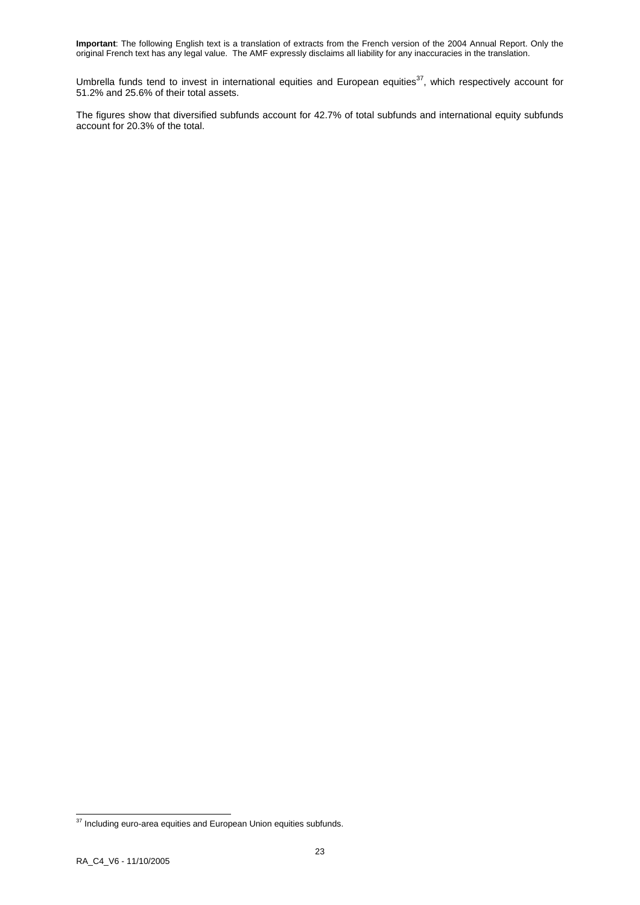Umbrella funds tend to invest in international equities and European equities<sup>37</sup>, which respectively account for 51.2% and 25.6% of their total assets.

The figures show that diversified subfunds account for 42.7% of total subfunds and international equity subfunds account for 20.3% of the total.

<sup>-</sup> $37$  Including euro-area equities and European Union equities subfunds.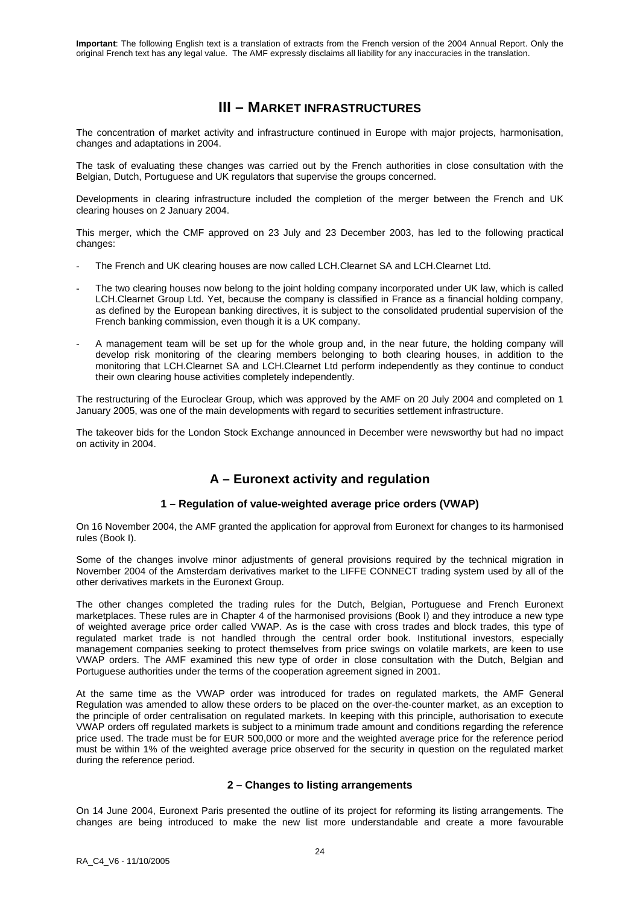# **III – MARKET INFRASTRUCTURES**

The concentration of market activity and infrastructure continued in Europe with major projects, harmonisation, changes and adaptations in 2004.

The task of evaluating these changes was carried out by the French authorities in close consultation with the Belgian, Dutch, Portuguese and UK regulators that supervise the groups concerned.

Developments in clearing infrastructure included the completion of the merger between the French and UK clearing houses on 2 January 2004.

This merger, which the CMF approved on 23 July and 23 December 2003, has led to the following practical changes:

- The French and UK clearing houses are now called LCH.Clearnet SA and LCH.Clearnet Ltd.
- The two clearing houses now belong to the joint holding company incorporated under UK law, which is called LCH.Clearnet Group Ltd. Yet, because the company is classified in France as a financial holding company, as defined by the European banking directives, it is subject to the consolidated prudential supervision of the French banking commission, even though it is a UK company.
- A management team will be set up for the whole group and, in the near future, the holding company will develop risk monitoring of the clearing members belonging to both clearing houses, in addition to the monitoring that LCH.Clearnet SA and LCH.Clearnet Ltd perform independently as they continue to conduct their own clearing house activities completely independently.

The restructuring of the Euroclear Group, which was approved by the AMF on 20 July 2004 and completed on 1 January 2005, was one of the main developments with regard to securities settlement infrastructure.

The takeover bids for the London Stock Exchange announced in December were newsworthy but had no impact on activity in 2004.

# **A – Euronext activity and regulation**

## **1 – Regulation of value-weighted average price orders (VWAP)**

On 16 November 2004, the AMF granted the application for approval from Euronext for changes to its harmonised rules (Book I).

Some of the changes involve minor adjustments of general provisions required by the technical migration in November 2004 of the Amsterdam derivatives market to the LIFFE CONNECT trading system used by all of the other derivatives markets in the Euronext Group.

The other changes completed the trading rules for the Dutch, Belgian, Portuguese and French Euronext marketplaces. These rules are in Chapter 4 of the harmonised provisions (Book I) and they introduce a new type of weighted average price order called VWAP. As is the case with cross trades and block trades, this type of regulated market trade is not handled through the central order book. Institutional investors, especially management companies seeking to protect themselves from price swings on volatile markets, are keen to use VWAP orders. The AMF examined this new type of order in close consultation with the Dutch, Belgian and Portuguese authorities under the terms of the cooperation agreement signed in 2001.

At the same time as the VWAP order was introduced for trades on regulated markets, the AMF General Regulation was amended to allow these orders to be placed on the over-the-counter market, as an exception to the principle of order centralisation on regulated markets. In keeping with this principle, authorisation to execute VWAP orders off regulated markets is subject to a minimum trade amount and conditions regarding the reference price used. The trade must be for EUR 500,000 or more and the weighted average price for the reference period must be within 1% of the weighted average price observed for the security in question on the regulated market during the reference period.

## **2 – Changes to listing arrangements**

On 14 June 2004, Euronext Paris presented the outline of its project for reforming its listing arrangements. The changes are being introduced to make the new list more understandable and create a more favourable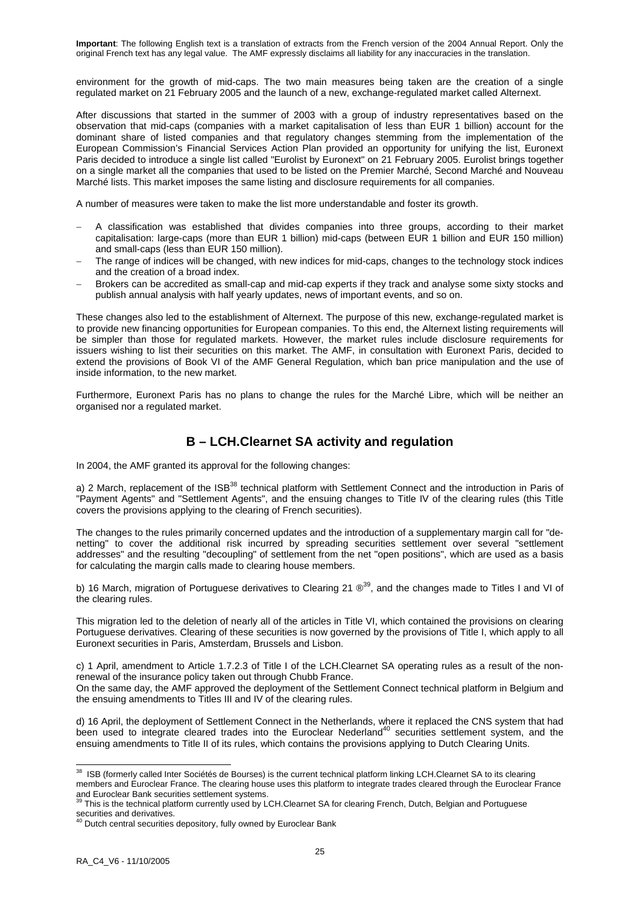environment for the growth of mid-caps. The two main measures being taken are the creation of a single regulated market on 21 February 2005 and the launch of a new, exchange-regulated market called Alternext.

After discussions that started in the summer of 2003 with a group of industry representatives based on the observation that mid-caps (companies with a market capitalisation of less than EUR 1 billion) account for the dominant share of listed companies and that regulatory changes stemming from the implementation of the European Commission's Financial Services Action Plan provided an opportunity for unifying the list, Euronext Paris decided to introduce a single list called "Eurolist by Euronext" on 21 February 2005. Eurolist brings together on a single market all the companies that used to be listed on the Premier Marché, Second Marché and Nouveau Marché lists. This market imposes the same listing and disclosure requirements for all companies.

A number of measures were taken to make the list more understandable and foster its growth.

- A classification was established that divides companies into three groups, according to their market capitalisation: large-caps (more than EUR 1 billion) mid-caps (between EUR 1 billion and EUR 150 million) and small-caps (less than EUR 150 million).
- The range of indices will be changed, with new indices for mid-caps, changes to the technology stock indices and the creation of a broad index.
- Brokers can be accredited as small-cap and mid-cap experts if they track and analyse some sixty stocks and publish annual analysis with half yearly updates, news of important events, and so on.

These changes also led to the establishment of Alternext. The purpose of this new, exchange-regulated market is to provide new financing opportunities for European companies. To this end, the Alternext listing requirements will be simpler than those for regulated markets. However, the market rules include disclosure requirements for issuers wishing to list their securities on this market. The AMF, in consultation with Euronext Paris, decided to extend the provisions of Book VI of the AMF General Regulation, which ban price manipulation and the use of inside information, to the new market.

Furthermore, Euronext Paris has no plans to change the rules for the Marché Libre, which will be neither an organised nor a regulated market.

# **B – LCH.Clearnet SA activity and regulation**

In 2004, the AMF granted its approval for the following changes:

a) 2 March, replacement of the ISB<sup>38</sup> technical platform with Settlement Connect and the introduction in Paris of "Payment Agents" and "Settlement Agents", and the ensuing changes to Title IV of the clearing rules (this Title covers the provisions applying to the clearing of French securities).

The changes to the rules primarily concerned updates and the introduction of a supplementary margin call for "denetting" to cover the additional risk incurred by spreading securities settlement over several "settlement addresses" and the resulting "decoupling" of settlement from the net "open positions", which are used as a basis for calculating the margin calls made to clearing house members.

b) 16 March, migration of Portuguese derivatives to Clearing 21  $\mathbb{O}^{39}$ , and the changes made to Titles I and VI of the clearing rules.

This migration led to the deletion of nearly all of the articles in Title VI, which contained the provisions on clearing Portuguese derivatives. Clearing of these securities is now governed by the provisions of Title I, which apply to all Euronext securities in Paris, Amsterdam, Brussels and Lisbon.

c) 1 April, amendment to Article 1.7.2.3 of Title I of the LCH.Clearnet SA operating rules as a result of the nonrenewal of the insurance policy taken out through Chubb France.

On the same day, the AMF approved the deployment of the Settlement Connect technical platform in Belgium and the ensuing amendments to Titles III and IV of the clearing rules.

d) 16 April, the deployment of Settlement Connect in the Netherlands, where it replaced the CNS system that had been used to integrate cleared trades into the Euroclear Nederland<sup>40</sup> securities settlement system, and the ensuing amendments to Title II of its rules, which contains the provisions applying to Dutch Clearing Units.

<sup>-</sup><sup>38</sup> ISB (formerly called Inter Sociétés de Bourses) is the current technical platform linking LCH.Clearnet SA to its clearing members and Euroclear France. The clearing house uses this platform to integrate trades cleared through the Euroclear France and Euroclear Bank securities settlement systems.<br><sup>39</sup> This is the technical platform currently used by LCH.Clearnet SA for clearing French, Dutch, Belgian and Portuguese

securities and derivatives.<br><sup>40</sup> Dutch central securities depository, fully owned by Euroclear Bank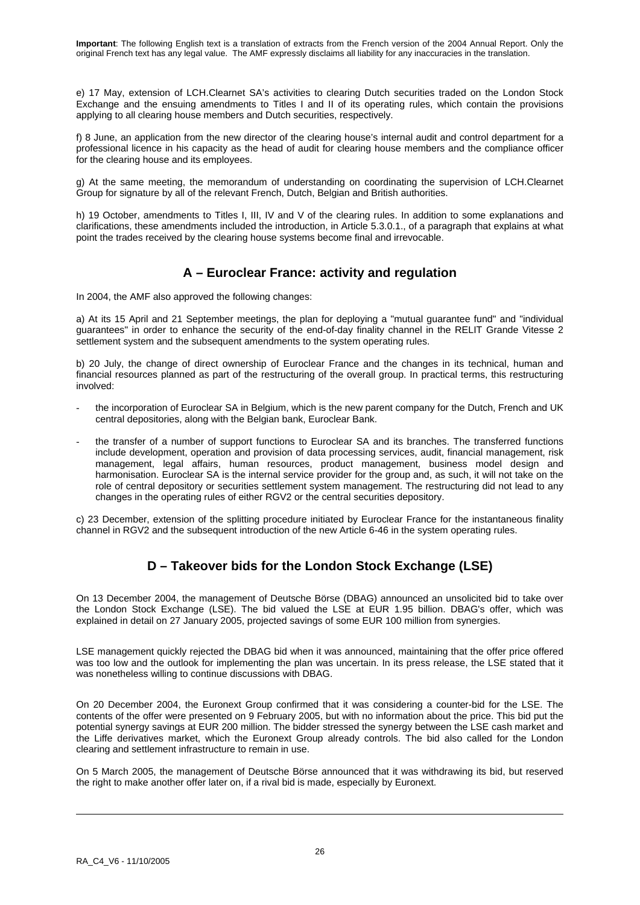e) 17 May, extension of LCH.Clearnet SA's activities to clearing Dutch securities traded on the London Stock Exchange and the ensuing amendments to Titles I and II of its operating rules, which contain the provisions applying to all clearing house members and Dutch securities, respectively.

f) 8 June, an application from the new director of the clearing house's internal audit and control department for a professional licence in his capacity as the head of audit for clearing house members and the compliance officer for the clearing house and its employees.

g) At the same meeting, the memorandum of understanding on coordinating the supervision of LCH.Clearnet Group for signature by all of the relevant French, Dutch, Belgian and British authorities.

h) 19 October, amendments to Titles I, III, IV and V of the clearing rules. In addition to some explanations and clarifications, these amendments included the introduction, in Article 5.3.0.1., of a paragraph that explains at what point the trades received by the clearing house systems become final and irrevocable.

## **A – Euroclear France: activity and regulation**

In 2004, the AMF also approved the following changes:

a) At its 15 April and 21 September meetings, the plan for deploying a "mutual guarantee fund" and "individual guarantees" in order to enhance the security of the end-of-day finality channel in the RELIT Grande Vitesse 2 settlement system and the subsequent amendments to the system operating rules.

b) 20 July, the change of direct ownership of Euroclear France and the changes in its technical, human and financial resources planned as part of the restructuring of the overall group. In practical terms, this restructuring involved:

- the incorporation of Euroclear SA in Belgium, which is the new parent company for the Dutch, French and UK central depositories, along with the Belgian bank, Euroclear Bank.
- the transfer of a number of support functions to Euroclear SA and its branches. The transferred functions include development, operation and provision of data processing services, audit, financial management, risk management, legal affairs, human resources, product management, business model design and harmonisation. Euroclear SA is the internal service provider for the group and, as such, it will not take on the role of central depository or securities settlement system management. The restructuring did not lead to any changes in the operating rules of either RGV2 or the central securities depository.

c) 23 December, extension of the splitting procedure initiated by Euroclear France for the instantaneous finality channel in RGV2 and the subsequent introduction of the new Article 6-46 in the system operating rules.

# **D – Takeover bids for the London Stock Exchange (LSE)**

On 13 December 2004, the management of Deutsche Börse (DBAG) announced an unsolicited bid to take over the London Stock Exchange (LSE). The bid valued the LSE at EUR 1.95 billion. DBAG's offer, which was explained in detail on 27 January 2005, projected savings of some EUR 100 million from synergies.

LSE management quickly rejected the DBAG bid when it was announced, maintaining that the offer price offered was too low and the outlook for implementing the plan was uncertain. In its press release, the LSE stated that it was nonetheless willing to continue discussions with DBAG.

On 20 December 2004, the Euronext Group confirmed that it was considering a counter-bid for the LSE. The contents of the offer were presented on 9 February 2005, but with no information about the price. This bid put the potential synergy savings at EUR 200 million. The bidder stressed the synergy between the LSE cash market and the Liffe derivatives market, which the Euronext Group already controls. The bid also called for the London clearing and settlement infrastructure to remain in use.

On 5 March 2005, the management of Deutsche Börse announced that it was withdrawing its bid, but reserved the right to make another offer later on, if a rival bid is made, especially by Euronext.